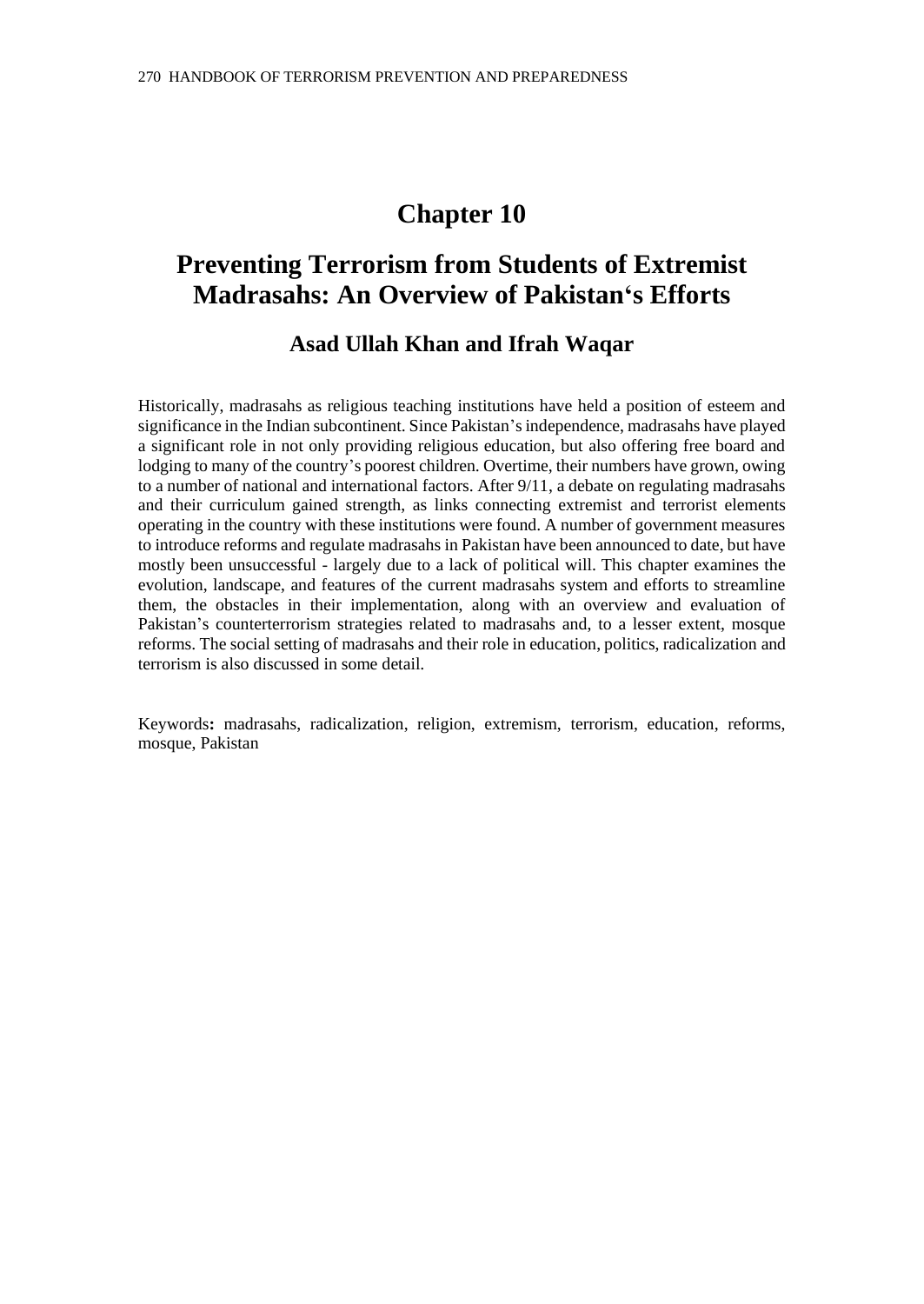# **Chapter 10**

# **Preventing Terrorism from Students of Extremist Madrasahs: An Overview of Pakistan's Efforts**

# **Asad Ullah Khan and Ifrah Waqar**

Historically, madrasahs as religious teaching institutions have held a position of esteem and significance in the Indian subcontinent. Since Pakistan's independence, madrasahs have played a significant role in not only providing religious education, but also offering free board and lodging to many of the country's poorest children. Overtime, their numbers have grown, owing to a number of national and international factors. After 9/11, a debate on regulating madrasahs and their curriculum gained strength, as links connecting extremist and terrorist elements operating in the country with these institutions were found. A number of government measures to introduce reforms and regulate madrasahs in Pakistan have been announced to date, but have mostly been unsuccessful - largely due to a lack of political will. This chapter examines the evolution, landscape, and features of the current madrasahs system and efforts to streamline them, the obstacles in their implementation, along with an overview and evaluation of Pakistan's counterterrorism strategies related to madrasahs and, to a lesser extent, mosque reforms. The social setting of madrasahs and their role in education, politics, radicalization and terrorism is also discussed in some detail*.*

Keywords**:** madrasahs, radicalization, religion, extremism, terrorism, education, reforms, mosque, Pakistan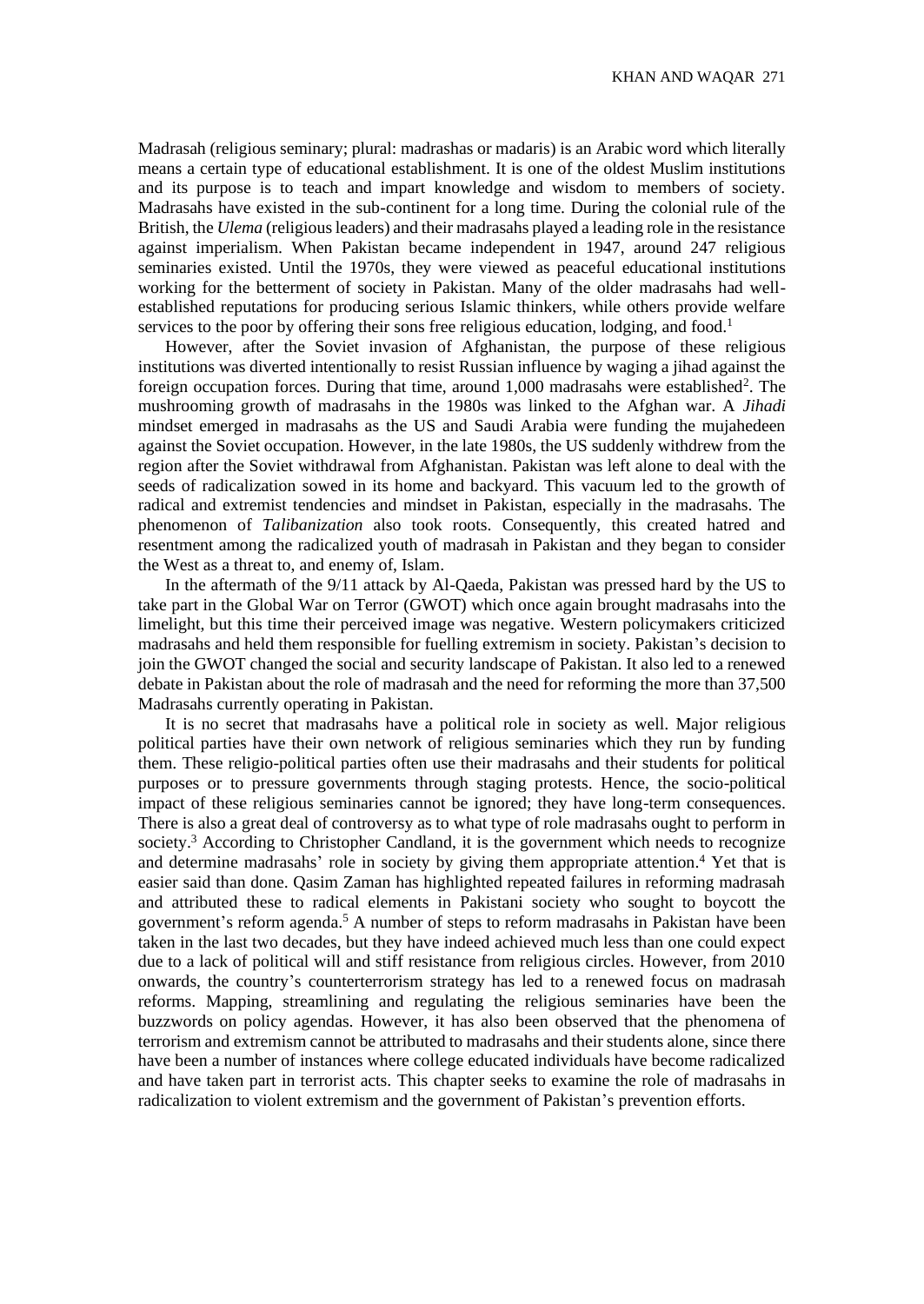Madrasah (religious seminary; plural: madrashas or madaris) is an Arabic word which literally means a certain type of educational establishment. It is one of the oldest Muslim institutions and its purpose is to teach and impart knowledge and wisdom to members of society. Madrasahs have existed in the sub-continent for a long time. During the colonial rule of the British, the *Ulema* (religious leaders) and their madrasahs played a leading role in the resistance against imperialism. When Pakistan became independent in 1947, around 247 religious seminaries existed. Until the 1970s, they were viewed as peaceful educational institutions working for the betterment of society in Pakistan. Many of the older madrasahs had wellestablished reputations for producing serious Islamic thinkers, while others provide welfare services to the poor by offering their sons free religious education, lodging, and food.<sup>1</sup>

However, after the Soviet invasion of Afghanistan, the purpose of these religious institutions was diverted intentionally to resist Russian influence by waging a jihad against the foreign occupation forces. During that time, around 1,000 madrasahs were established<sup>2</sup>. The mushrooming growth of madrasahs in the 1980s was linked to the Afghan war. A *Jihadi* mindset emerged in madrasahs as the US and Saudi Arabia were funding the mujahedeen against the Soviet occupation. However, in the late 1980s, the US suddenly withdrew from the region after the Soviet withdrawal from Afghanistan. Pakistan was left alone to deal with the seeds of radicalization sowed in its home and backyard. This vacuum led to the growth of radical and extremist tendencies and mindset in Pakistan, especially in the madrasahs. The phenomenon of *Talibanization* also took roots. Consequently, this created hatred and resentment among the radicalized youth of madrasah in Pakistan and they began to consider the West as a threat to, and enemy of, Islam.

In the aftermath of the 9/11 attack by Al-Qaeda, Pakistan was pressed hard by the US to take part in the Global War on Terror (GWOT) which once again brought madrasahs into the limelight, but this time their perceived image was negative. Western policymakers criticized madrasahs and held them responsible for fuelling extremism in society. Pakistan's decision to join the GWOT changed the social and security landscape of Pakistan. It also led to a renewed debate in Pakistan about the role of madrasah and the need for reforming the more than 37,500 Madrasahs currently operating in Pakistan.

It is no secret that madrasahs have a political role in society as well. Major religious political parties have their own network of religious seminaries which they run by funding them. These religio-political parties often use their madrasahs and their students for political purposes or to pressure governments through staging protests. Hence, the socio-political impact of these religious seminaries cannot be ignored; they have long-term consequences. There is also a great deal of controversy as to what type of role madrasahs ought to perform in society.<sup>3</sup> According to Christopher Candland, it is the government which needs to recognize and determine madrasahs' role in society by giving them appropriate attention.<sup>4</sup> Yet that is easier said than done. Qasim Zaman has highlighted repeated failures in reforming madrasah and attributed these to radical elements in Pakistani society who sought to boycott the government's reform agenda.<sup>5</sup> A number of steps to reform madrasahs in Pakistan have been taken in the last two decades, but they have indeed achieved much less than one could expect due to a lack of political will and stiff resistance from religious circles. However, from 2010 onwards, the country's counterterrorism strategy has led to a renewed focus on madrasah reforms. Mapping, streamlining and regulating the religious seminaries have been the buzzwords on policy agendas. However, it has also been observed that the phenomena of terrorism and extremism cannot be attributed to madrasahs and their students alone, since there have been a number of instances where college educated individuals have become radicalized and have taken part in terrorist acts. This chapter seeks to examine the role of madrasahs in radicalization to violent extremism and the government of Pakistan's prevention efforts.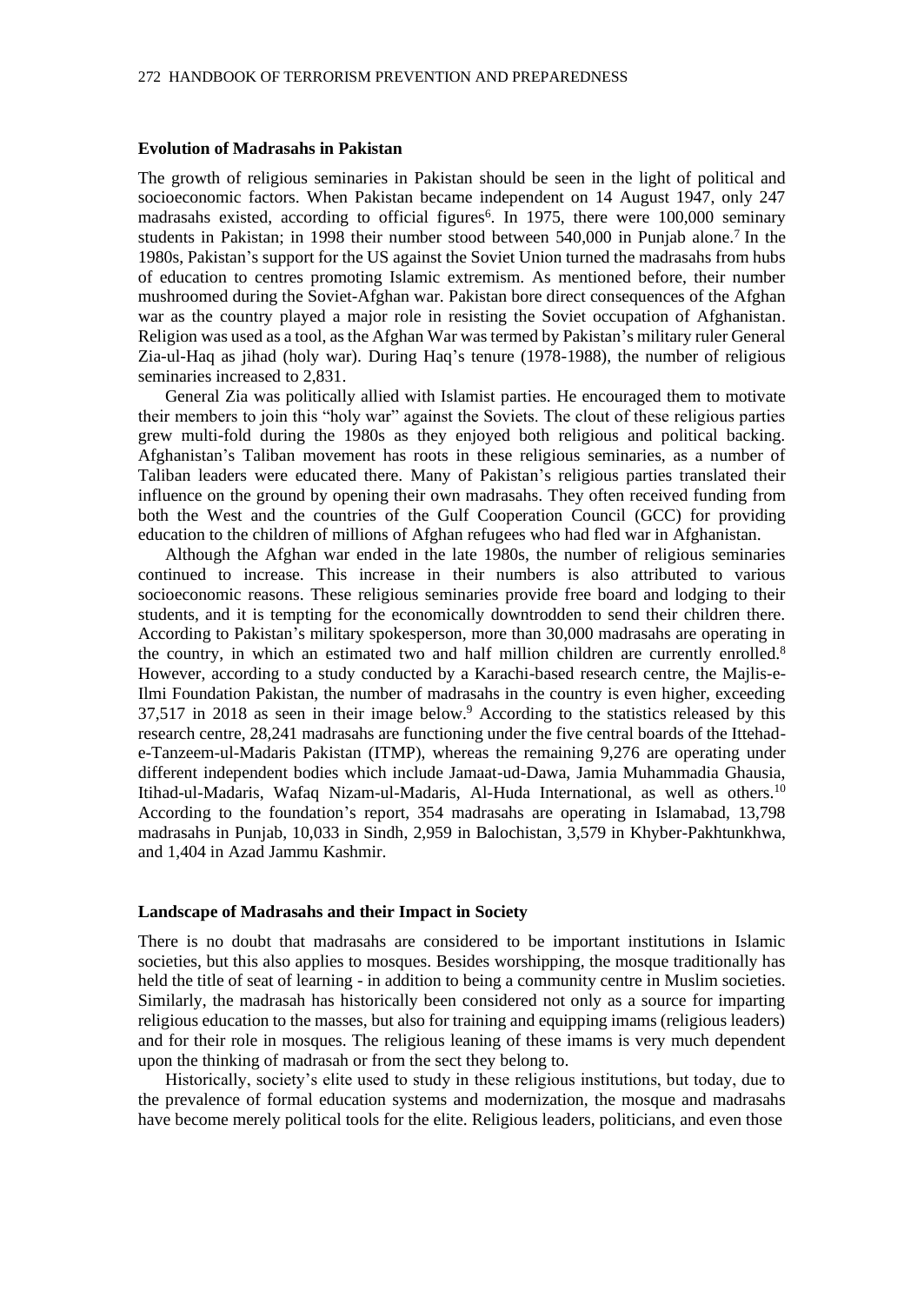#### **Evolution of Madrasahs in Pakistan**

The growth of religious seminaries in Pakistan should be seen in the light of political and socioeconomic factors. When Pakistan became independent on 14 August 1947, only 247 madrasahs existed, according to official figures<sup>6</sup>. In 1975, there were 100,000 seminary students in Pakistan; in 1998 their number stood between 540,000 in Punjab alone.<sup>7</sup> In the 1980s, Pakistan's support for the US against the Soviet Union turned the madrasahs from hubs of education to centres promoting Islamic extremism. As mentioned before, their number mushroomed during the Soviet-Afghan war. Pakistan bore direct consequences of the Afghan war as the country played a major role in resisting the Soviet occupation of Afghanistan. Religion was used as a tool, as the Afghan War was termed by Pakistan's military ruler General Zia-ul-Haq as jihad (holy war). During Haq's tenure (1978-1988), the number of religious seminaries increased to 2,831.

General Zia was politically allied with Islamist parties. He encouraged them to motivate their members to join this "holy war" against the Soviets. The clout of these religious parties grew multi-fold during the 1980s as they enjoyed both religious and political backing. Afghanistan's Taliban movement has roots in these religious seminaries, as a number of Taliban leaders were educated there. Many of Pakistan's religious parties translated their influence on the ground by opening their own madrasahs. They often received funding from both the West and the countries of the Gulf Cooperation Council (GCC) for providing education to the children of millions of Afghan refugees who had fled war in Afghanistan.

Although the Afghan war ended in the late 1980s, the number of religious seminaries continued to increase. This increase in their numbers is also attributed to various socioeconomic reasons. These religious seminaries provide free board and lodging to their students, and it is tempting for the economically downtrodden to send their children there. According to Pakistan's military spokesperson, more than 30,000 madrasahs are operating in the country, in which an estimated two and half million children are currently enrolled.<sup>8</sup> However, according to a study conducted by a Karachi-based research centre, the Majlis-e-Ilmi Foundation Pakistan, the number of madrasahs in the country is even higher, exceeding 37,517 in 2018 as seen in their image below.<sup>9</sup> According to the statistics released by this research centre, 28,241 madrasahs are functioning under the five central boards of the Ittehade-Tanzeem-ul-Madaris Pakistan (ITMP), whereas the remaining 9,276 are operating under different independent bodies which include Jamaat-ud-Dawa, Jamia Muhammadia Ghausia, Itihad-ul-Madaris, Wafaq Nizam-ul-Madaris, Al-Huda International, as well as others.<sup>10</sup> According to the foundation's report, 354 madrasahs are operating in Islamabad, 13,798 madrasahs in Punjab, 10,033 in Sindh, 2,959 in Balochistan, 3,579 in Khyber-Pakhtunkhwa, and 1,404 in Azad Jammu Kashmir.

#### **Landscape of Madrasahs and their Impact in Society**

There is no doubt that madrasahs are considered to be important institutions in Islamic societies, but this also applies to mosques. Besides worshipping, the mosque traditionally has held the title of seat of learning - in addition to being a community centre in Muslim societies. Similarly, the madrasah has historically been considered not only as a source for imparting religious education to the masses, but also for training and equipping imams (religious leaders) and for their role in mosques. The religious leaning of these imams is very much dependent upon the thinking of madrasah or from the sect they belong to.

Historically, society's elite used to study in these religious institutions, but today, due to the prevalence of formal education systems and modernization, the mosque and madrasahs have become merely political tools for the elite. Religious leaders, politicians, and even those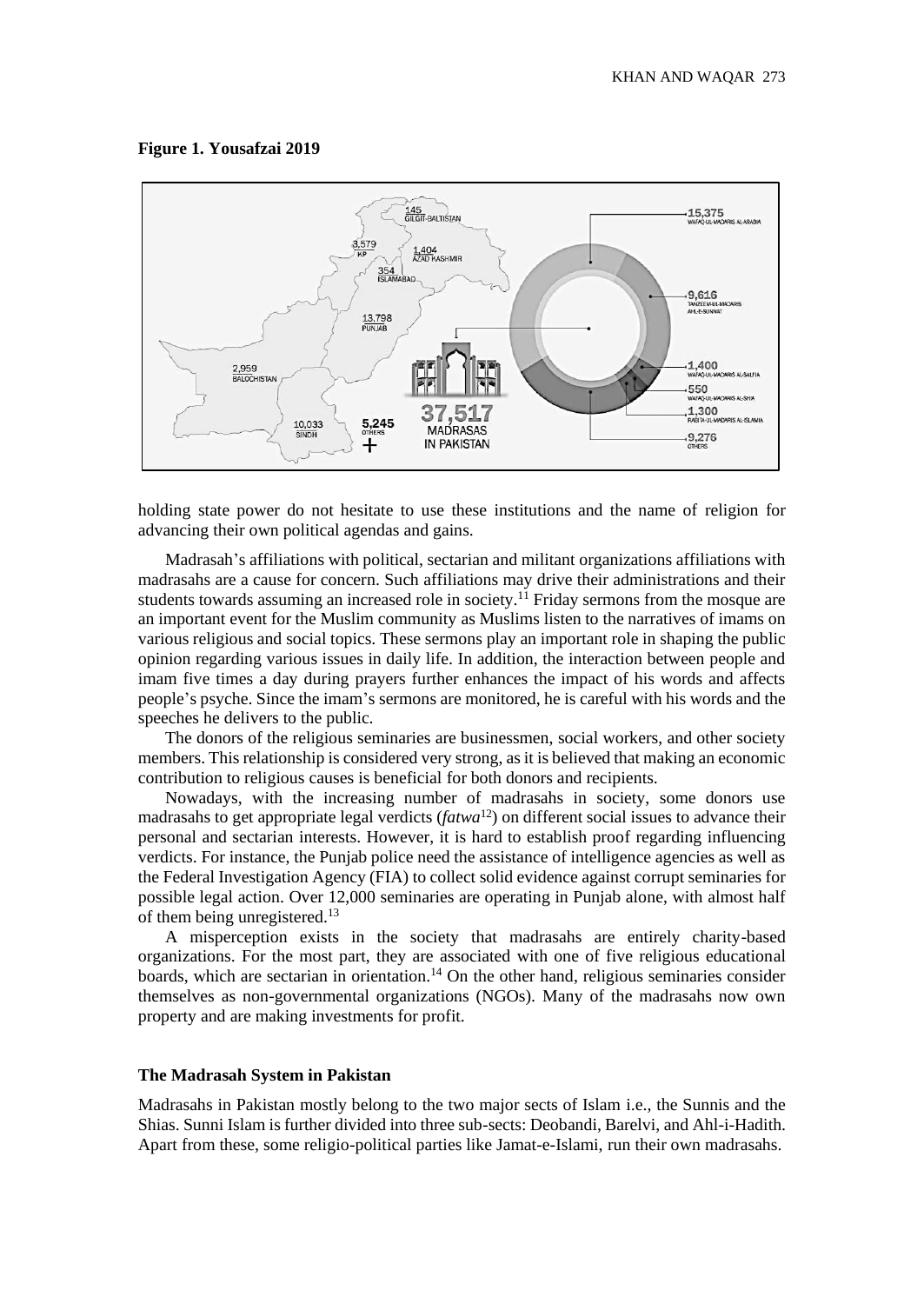#### **Figure 1. Yousafzai 2019**



holding state power do not hesitate to use these institutions and the name of religion for advancing their own political agendas and gains.

Madrasah's affiliations with political, sectarian and militant organizations affiliations with madrasahs are a cause for concern. Such affiliations may drive their administrations and their students towards assuming an increased role in society.<sup>11</sup> Friday sermons from the mosque are an important event for the Muslim community as Muslims listen to the narratives of imams on various religious and social topics. These sermons play an important role in shaping the public opinion regarding various issues in daily life. In addition, the interaction between people and imam five times a day during prayers further enhances the impact of his words and affects people's psyche. Since the imam's sermons are monitored, he is careful with his words and the speeches he delivers to the public.

The donors of the religious seminaries are businessmen, social workers, and other society members. This relationship is considered very strong, as it is believed that making an economic contribution to religious causes is beneficial for both donors and recipients.

Nowadays, with the increasing number of madrasahs in society, some donors use madrasahs to get appropriate legal verdicts (*fatwa*<sup>12</sup>) on different social issues to advance their personal and sectarian interests. However, it is hard to establish proof regarding influencing verdicts. For instance, the Punjab police need the assistance of intelligence agencies as well as the Federal Investigation Agency (FIA) to collect solid evidence against corrupt seminaries for possible legal action. Over 12,000 seminaries are operating in Punjab alone, with almost half of them being unregistered.<sup>13</sup>

A misperception exists in the society that madrasahs are entirely charity-based organizations. For the most part, they are associated with one of five religious educational boards, which are sectarian in orientation.<sup>14</sup> On the other hand, religious seminaries consider themselves as non-governmental organizations (NGOs). Many of the madrasahs now own property and are making investments for profit.

#### **The Madrasah System in Pakistan**

Madrasahs in Pakistan mostly belong to the two major sects of Islam i.e., the Sunnis and the Shias. Sunni Islam is further divided into three sub-sects: Deobandi, Barelvi, and Ahl-i-Hadith. Apart from these, some religio-political parties like Jamat-e-Islami, run their own madrasahs.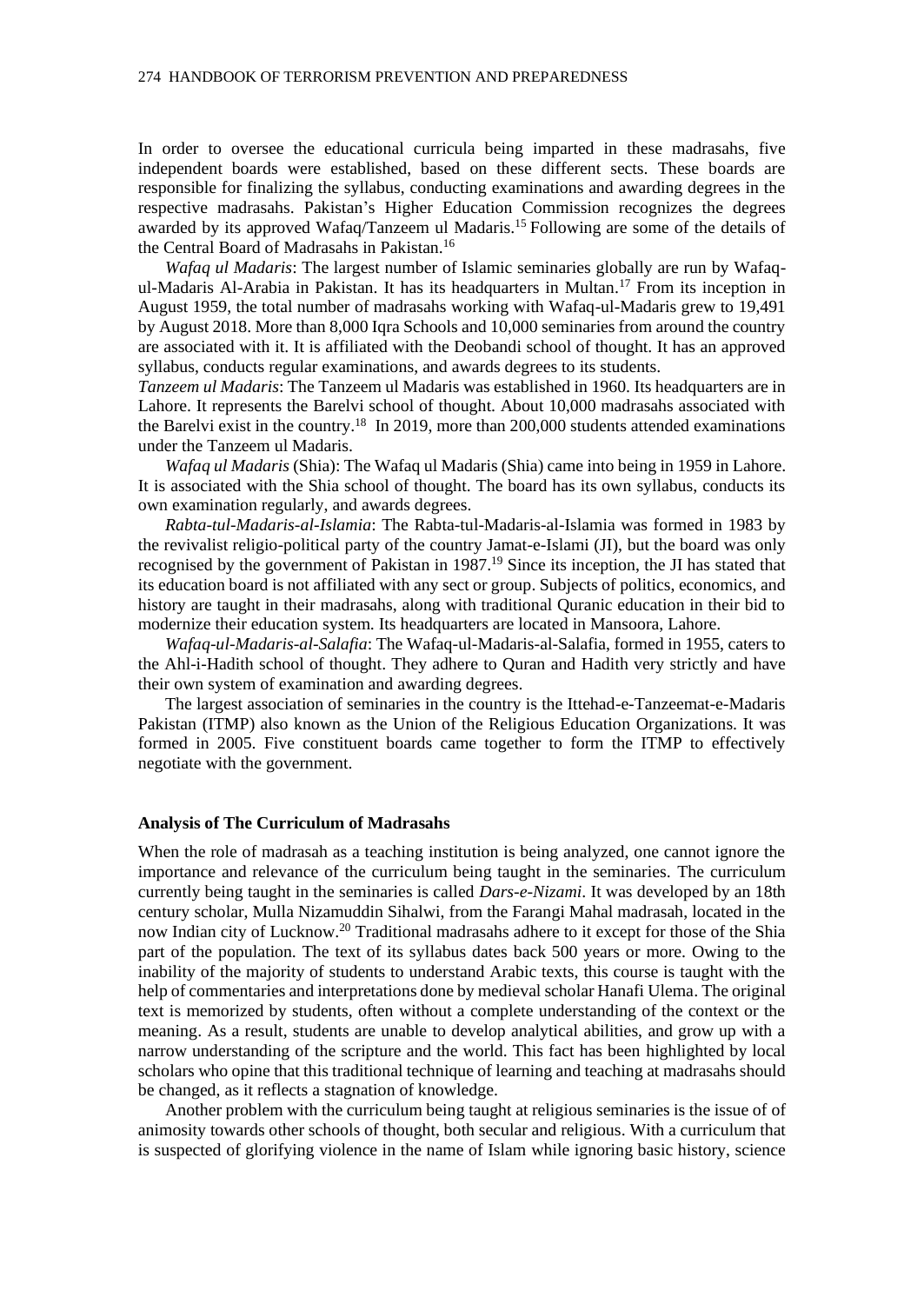In order to oversee the educational curricula being imparted in these madrasahs, five independent boards were established, based on these different sects. These boards are responsible for finalizing the syllabus, conducting examinations and awarding degrees in the respective madrasahs. Pakistan's Higher Education Commission recognizes the degrees awarded by its approved Wafaq/Tanzeem ul Madaris.<sup>15</sup> Following are some of the details of the Central Board of Madrasahs in Pakistan.<sup>16</sup>

*Wafaq ul Madaris*: The largest number of Islamic seminaries globally are run by Wafaqul-Madaris Al-Arabia in Pakistan. It has its headquarters in Multan.<sup>17</sup> From its inception in August 1959, the total number of madrasahs working with Wafaq-ul-Madaris grew to 19,491 by August 2018. More than 8,000 Iqra Schools and 10,000 seminaries from around the country are associated with it. It is affiliated with the Deobandi school of thought. It has an approved syllabus, conducts regular examinations, and awards degrees to its students.

*Tanzeem ul Madaris*: The Tanzeem ul Madaris was established in 1960. Its headquarters are in Lahore. It represents the Barelvi school of thought. About 10,000 madrasahs associated with the Barelvi exist in the country.<sup>18</sup> In 2019, more than 200,000 students attended examinations under the Tanzeem ul Madaris.

*Wafaq ul Madaris* (Shia): The Wafaq ul Madaris (Shia) came into being in 1959 in Lahore. It is associated with the Shia school of thought. The board has its own syllabus, conducts its own examination regularly, and awards degrees.

*Rabta-tul-Madaris-al-Islamia*: The Rabta-tul-Madaris-al-Islamia was formed in 1983 by the revivalist religio-political party of the country Jamat-e-Islami (JI), but the board was only recognised by the government of Pakistan in 1987.<sup>19</sup> Since its inception, the JI has stated that its education board is not affiliated with any sect or group. Subjects of politics, economics, and history are taught in their madrasahs, along with traditional Quranic education in their bid to modernize their education system. Its headquarters are located in Mansoora, Lahore.

*Wafaq-ul-Madaris-al-Salafia*: The Wafaq-ul-Madaris-al-Salafia, formed in 1955, caters to the Ahl-i-Hadith school of thought. They adhere to Quran and Hadith very strictly and have their own system of examination and awarding degrees.

The largest association of seminaries in the country is the Ittehad-e-Tanzeemat-e-Madaris Pakistan (ITMP) also known as the Union of the Religious Education Organizations. It was formed in 2005. Five constituent boards came together to form the ITMP to effectively negotiate with the government.

#### **Analysis of The Curriculum of Madrasahs**

When the role of madrasah as a teaching institution is being analyzed, one cannot ignore the importance and relevance of the curriculum being taught in the seminaries. The curriculum currently being taught in the seminaries is called *Dars-e-Nizami*. It was developed by an 18th century scholar, Mulla Nizamuddin Sihalwi, from the Farangi Mahal madrasah, located in the now Indian city of Lucknow.<sup>20</sup> Traditional madrasahs adhere to it except for those of the Shia part of the population. The text of its syllabus dates back 500 years or more. Owing to the inability of the majority of students to understand Arabic texts, this course is taught with the help of commentaries and interpretations done by medieval scholar Hanafi Ulema. The original text is memorized by students, often without a complete understanding of the context or the meaning. As a result, students are unable to develop analytical abilities, and grow up with a narrow understanding of the scripture and the world. This fact has been highlighted by local scholars who opine that this traditional technique of learning and teaching at madrasahs should be changed, as it reflects a stagnation of knowledge.

Another problem with the curriculum being taught at religious seminaries is the issue of of animosity towards other schools of thought, both secular and religious. With a curriculum that is suspected of glorifying violence in the name of Islam while ignoring basic history, science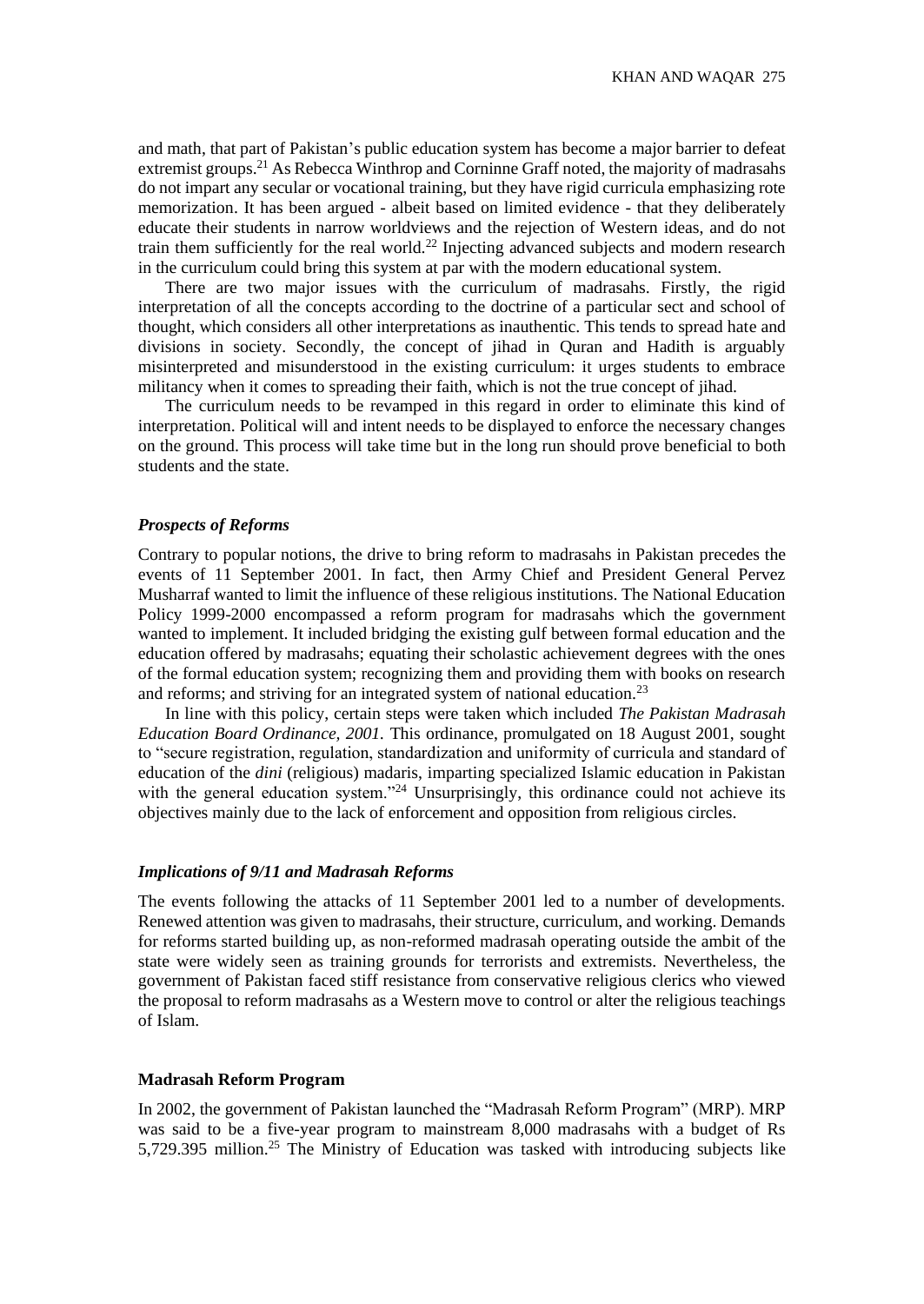and math, that part of Pakistan's public education system has become a major barrier to defeat extremist groups.<sup>21</sup> As Rebecca Winthrop and Corninne Graff noted, the majority of madrasahs do not impart any secular or vocational training, but they have rigid curricula emphasizing rote memorization. It has been argued - albeit based on limited evidence - that they deliberately educate their students in narrow worldviews and the rejection of Western ideas, and do not train them sufficiently for the real world.<sup>22</sup> Injecting advanced subjects and modern research in the curriculum could bring this system at par with the modern educational system.

There are two major issues with the curriculum of madrasahs. Firstly, the rigid interpretation of all the concepts according to the doctrine of a particular sect and school of thought, which considers all other interpretations as inauthentic. This tends to spread hate and divisions in society. Secondly, the concept of jihad in Quran and Hadith is arguably misinterpreted and misunderstood in the existing curriculum: it urges students to embrace militancy when it comes to spreading their faith, which is not the true concept of jihad.

The curriculum needs to be revamped in this regard in order to eliminate this kind of interpretation. Political will and intent needs to be displayed to enforce the necessary changes on the ground. This process will take time but in the long run should prove beneficial to both students and the state.

#### *Prospects of Reforms*

Contrary to popular notions, the drive to bring reform to madrasahs in Pakistan precedes the events of 11 September 2001. In fact, then Army Chief and President General Pervez Musharraf wanted to limit the influence of these religious institutions. The National Education Policy 1999-2000 encompassed a reform program for madrasahs which the government wanted to implement. It included bridging the existing gulf between formal education and the education offered by madrasahs; equating their scholastic achievement degrees with the ones of the formal education system; recognizing them and providing them with books on research and reforms; and striving for an integrated system of national education.<sup>23</sup>

In line with this policy, certain steps were taken which included *The Pakistan Madrasah Education Board Ordinance, 2001.* This ordinance, promulgated on 18 August 2001, sought to "secure registration, regulation, standardization and uniformity of curricula and standard of education of the *dini* (religious) madaris, imparting specialized Islamic education in Pakistan with the general education system."<sup>24</sup> Unsurprisingly, this ordinance could not achieve its objectives mainly due to the lack of enforcement and opposition from religious circles.

#### *Implications of 9/11 and Madrasah Reforms*

The events following the attacks of 11 September 2001 led to a number of developments. Renewed attention was given to madrasahs, their structure, curriculum, and working. Demands for reforms started building up, as non-reformed madrasah operating outside the ambit of the state were widely seen as training grounds for terrorists and extremists. Nevertheless, the government of Pakistan faced stiff resistance from conservative religious clerics who viewed the proposal to reform madrasahs as a Western move to control or alter the religious teachings of Islam.

#### **Madrasah Reform Program**

In 2002, the government of Pakistan launched the "Madrasah Reform Program" (MRP). MRP was said to be a five-year program to mainstream 8,000 madrasahs with a budget of Rs 5,729.395 million.<sup>25</sup> The Ministry of Education was tasked with introducing subjects like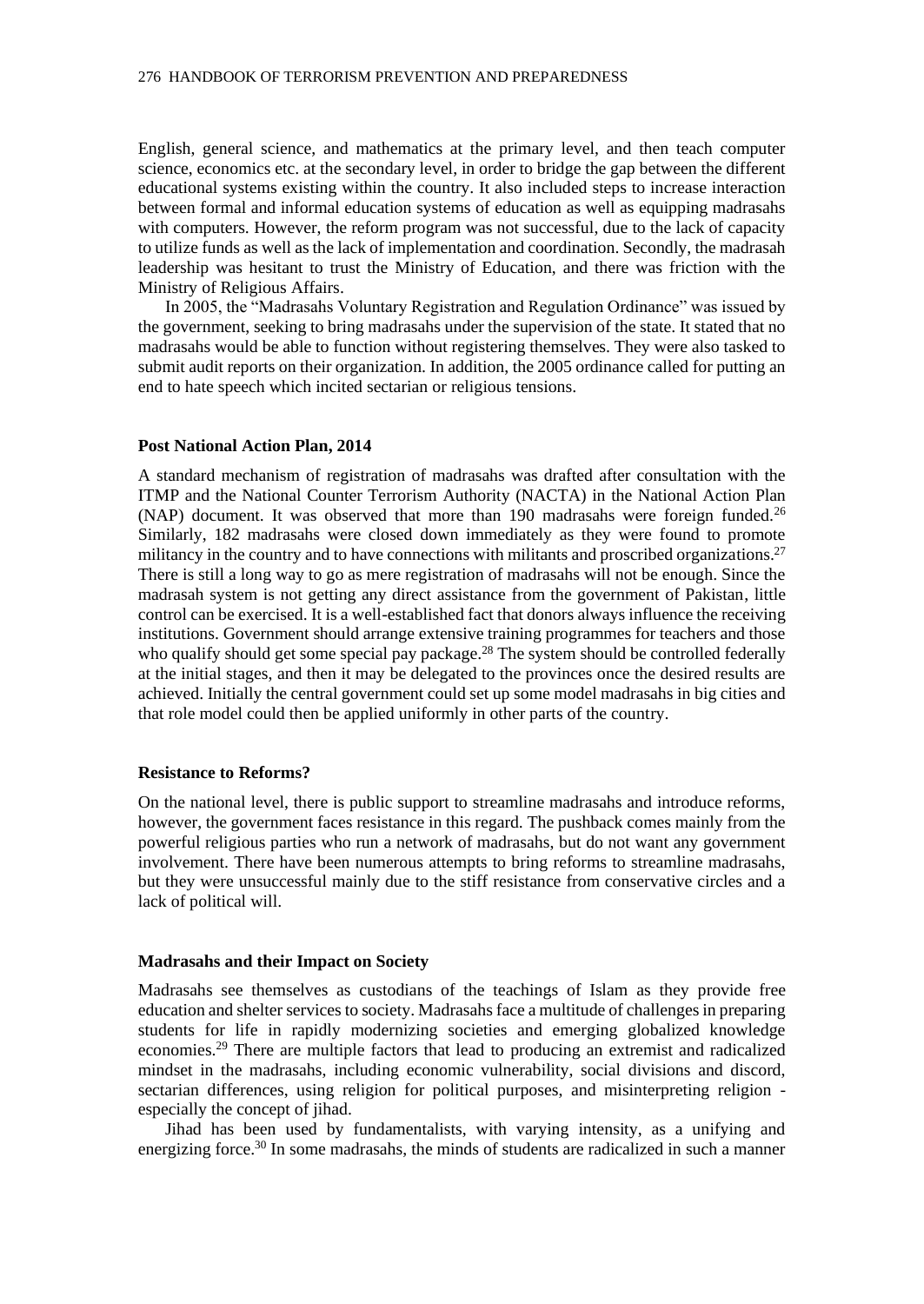English, general science, and mathematics at the primary level, and then teach computer science, economics etc. at the secondary level, in order to bridge the gap between the different educational systems existing within the country. It also included steps to increase interaction between formal and informal education systems of education as well as equipping madrasahs with computers. However, the reform program was not successful, due to the lack of capacity to utilize funds as well as the lack of implementation and coordination. Secondly, the madrasah leadership was hesitant to trust the Ministry of Education, and there was friction with the Ministry of Religious Affairs.

In 2005, the "Madrasahs Voluntary Registration and Regulation Ordinance" was issued by the government, seeking to bring madrasahs under the supervision of the state. It stated that no madrasahs would be able to function without registering themselves. They were also tasked to submit audit reports on their organization. In addition, the 2005 ordinance called for putting an end to hate speech which incited sectarian or religious tensions.

#### **Post National Action Plan, 2014**

A standard mechanism of registration of madrasahs was drafted after consultation with the ITMP and the National Counter Terrorism Authority (NACTA) in the National Action Plan (NAP) document. It was observed that more than 190 madrasahs were foreign funded.<sup>26</sup> Similarly, 182 madrasahs were closed down immediately as they were found to promote militancy in the country and to have connections with militants and proscribed organizations.<sup>27</sup> There is still a long way to go as mere registration of madrasahs will not be enough. Since the madrasah system is not getting any direct assistance from the government of Pakistan, little control can be exercised. It is a well-established fact that donors always influence the receiving institutions. Government should arrange extensive training programmes for teachers and those who qualify should get some special pay package.<sup>28</sup> The system should be controlled federally at the initial stages, and then it may be delegated to the provinces once the desired results are achieved. Initially the central government could set up some model madrasahs in big cities and that role model could then be applied uniformly in other parts of the country.

#### **Resistance to Reforms?**

On the national level, there is public support to streamline madrasahs and introduce reforms, however, the government faces resistance in this regard. The pushback comes mainly from the powerful religious parties who run a network of madrasahs, but do not want any government involvement. There have been numerous attempts to bring reforms to streamline madrasahs, but they were unsuccessful mainly due to the stiff resistance from conservative circles and a lack of political will.

#### **Madrasahs and their Impact on Society**

Madrasahs see themselves as custodians of the teachings of Islam as they provide free education and shelter services to society. Madrasahs face a multitude of challenges in preparing students for life in rapidly modernizing societies and emerging globalized knowledge economies.<sup>29</sup> There are multiple factors that lead to producing an extremist and radicalized mindset in the madrasahs, including economic vulnerability, social divisions and discord, sectarian differences, using religion for political purposes, and misinterpreting religion especially the concept of jihad.

Jihad has been used by fundamentalists, with varying intensity, as a unifying and energizing force.<sup>30</sup> In some madrasahs, the minds of students are radicalized in such a manner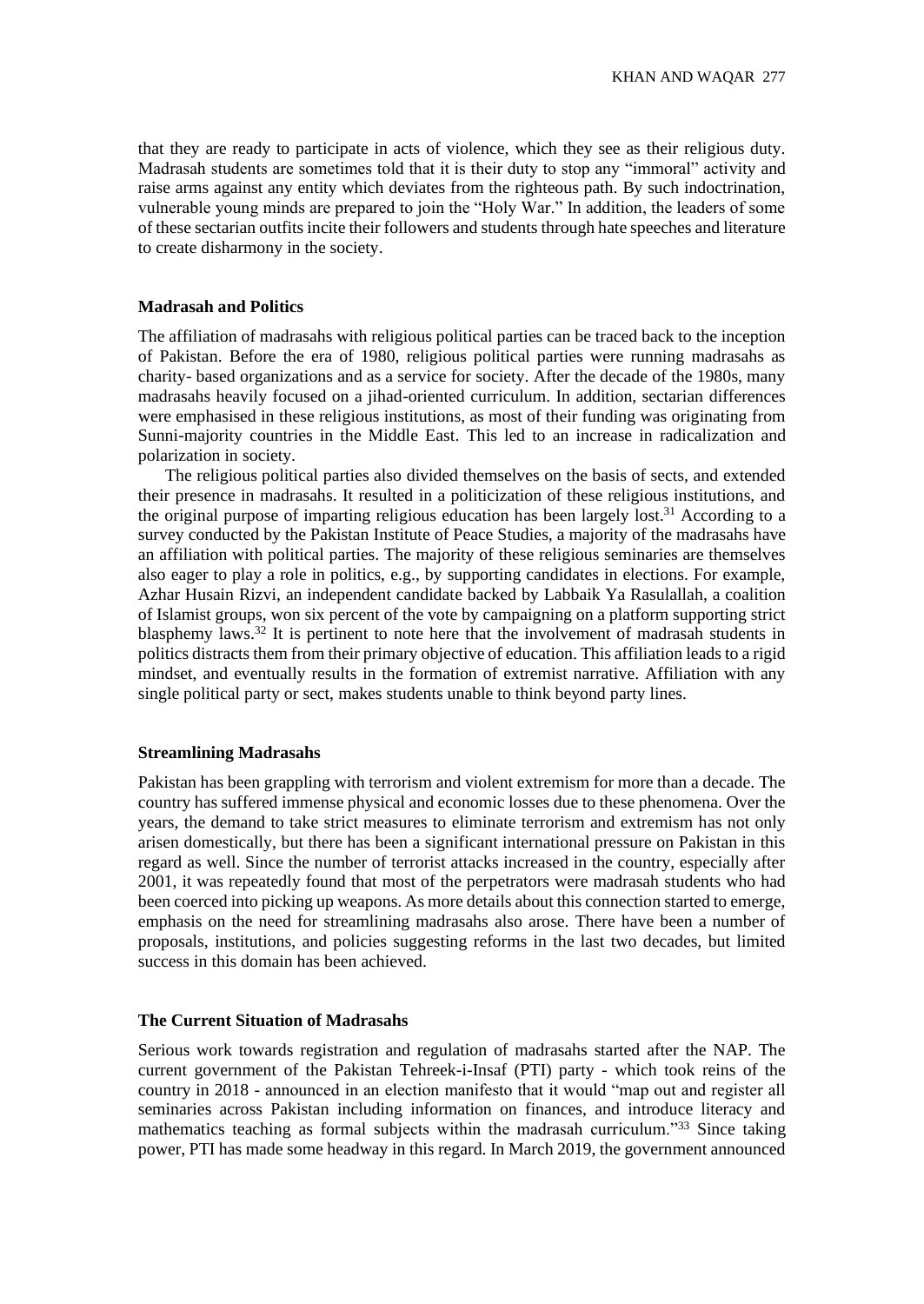that they are ready to participate in acts of violence, which they see as their religious duty. Madrasah students are sometimes told that it is their duty to stop any "immoral" activity and raise arms against any entity which deviates from the righteous path. By such indoctrination, vulnerable young minds are prepared to join the "Holy War." In addition, the leaders of some of these sectarian outfits incite their followers and students through hate speeches and literature to create disharmony in the society.

#### **Madrasah and Politics**

The affiliation of madrasahs with religious political parties can be traced back to the inception of Pakistan. Before the era of 1980, religious political parties were running madrasahs as charity- based organizations and as a service for society. After the decade of the 1980s, many madrasahs heavily focused on a jihad-oriented curriculum. In addition, sectarian differences were emphasised in these religious institutions, as most of their funding was originating from Sunni-majority countries in the Middle East. This led to an increase in radicalization and polarization in society.

The religious political parties also divided themselves on the basis of sects, and extended their presence in madrasahs. It resulted in a politicization of these religious institutions, and the original purpose of imparting religious education has been largely lost.<sup>31</sup> According to a survey conducted by the Pakistan Institute of Peace Studies, a majority of the madrasahs have an affiliation with political parties. The majority of these religious seminaries are themselves also eager to play a role in politics, e.g., by supporting candidates in elections. For example, Azhar Husain Rizvi, an independent candidate backed by Labbaik Ya Rasulallah, a coalition of Islamist groups, won six percent of the vote by campaigning on a platform supporting strict blasphemy laws.<sup>32</sup> It is pertinent to note here that the involvement of madrasah students in politics distracts them from their primary objective of education. This affiliation leads to a rigid mindset, and eventually results in the formation of extremist narrative. Affiliation with any single political party or sect, makes students unable to think beyond party lines.

#### **Streamlining Madrasahs**

Pakistan has been grappling with terrorism and violent extremism for more than a decade. The country has suffered immense physical and economic losses due to these phenomena. Over the years, the demand to take strict measures to eliminate terrorism and extremism has not only arisen domestically, but there has been a significant international pressure on Pakistan in this regard as well. Since the number of terrorist attacks increased in the country, especially after 2001, it was repeatedly found that most of the perpetrators were madrasah students who had been coerced into picking up weapons. As more details about this connection started to emerge, emphasis on the need for streamlining madrasahs also arose. There have been a number of proposals, institutions, and policies suggesting reforms in the last two decades, but limited success in this domain has been achieved.

# **The Current Situation of Madrasahs**

Serious work towards registration and regulation of madrasahs started after the NAP. The current government of the Pakistan Tehreek-i-Insaf (PTI) party - which took reins of the country in 2018 - announced in an election manifesto that it would "map out and register all seminaries across Pakistan including information on finances, and introduce literacy and mathematics teaching as formal subjects within the madrasah curriculum."<sup>33</sup> Since taking power, PTI has made some headway in this regard. In March 2019, the government announced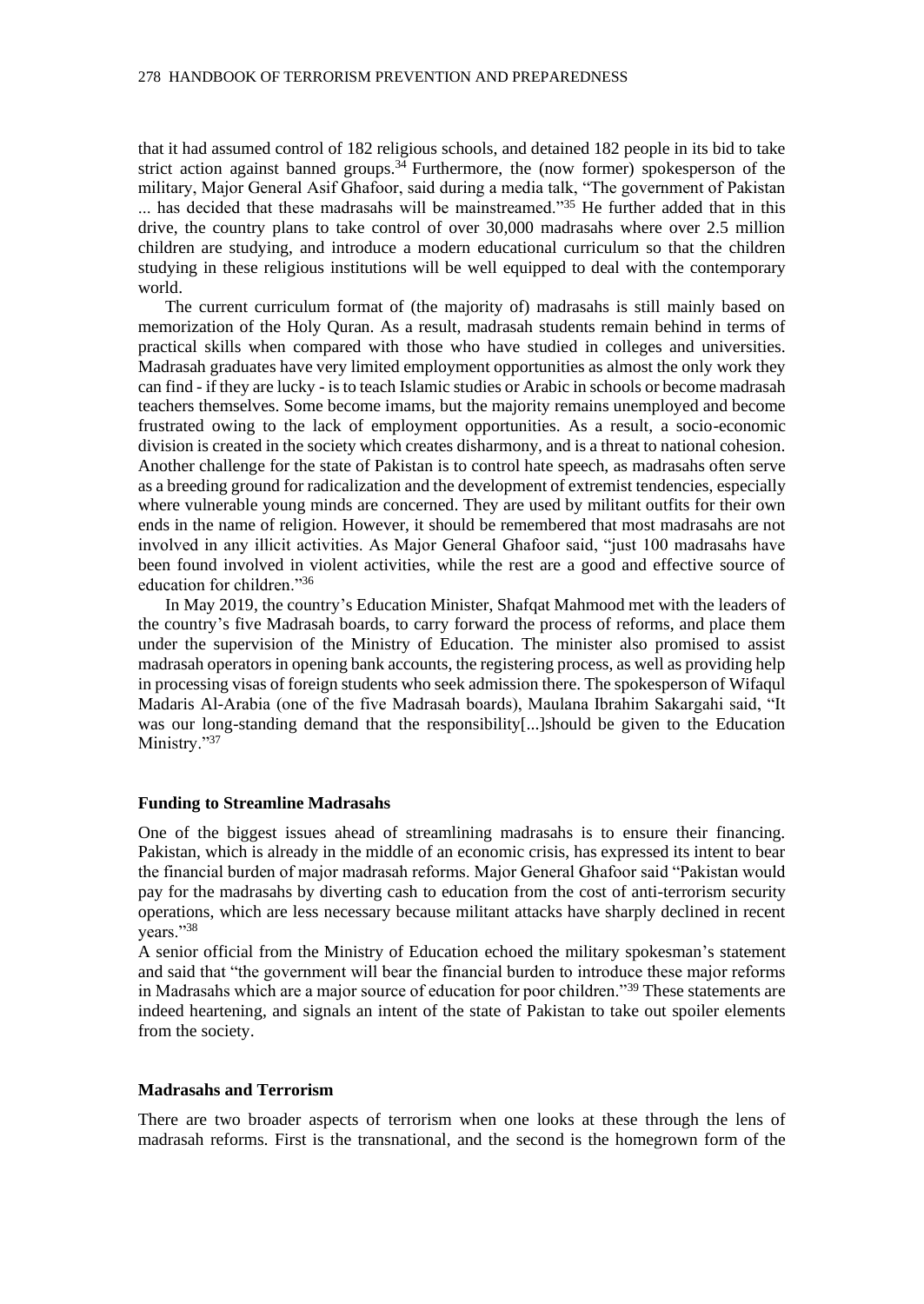that it had assumed control of 182 religious schools, and detained 182 people in its bid to take strict action against banned groups.<sup>34</sup> Furthermore, the (now former) spokesperson of the military, Major General Asif Ghafoor, said during a media talk, "The government of Pakistan ... has decided that these madrasahs will be mainstreamed."<sup>35</sup> He further added that in this drive, the country plans to take control of over 30,000 madrasahs where over 2.5 million children are studying, and introduce a modern educational curriculum so that the children studying in these religious institutions will be well equipped to deal with the contemporary world.

The current curriculum format of (the majority of) madrasahs is still mainly based on memorization of the Holy Quran. As a result, madrasah students remain behind in terms of practical skills when compared with those who have studied in colleges and universities. Madrasah graduates have very limited employment opportunities as almost the only work they can find - if they are lucky - is to teach Islamic studies or Arabic in schools or become madrasah teachers themselves. Some become imams, but the majority remains unemployed and become frustrated owing to the lack of employment opportunities. As a result, a socio-economic division is created in the society which creates disharmony, and is a threat to national cohesion. Another challenge for the state of Pakistan is to control hate speech, as madrasahs often serve as a breeding ground for radicalization and the development of extremist tendencies, especially where vulnerable young minds are concerned. They are used by militant outfits for their own ends in the name of religion. However, it should be remembered that most madrasahs are not involved in any illicit activities. As Major General Ghafoor said, "just 100 madrasahs have been found involved in violent activities, while the rest are a good and effective source of education for children."<sup>36</sup>

In May 2019, the country's Education Minister, Shafqat Mahmood met with the leaders of the country's five Madrasah boards, to carry forward the process of reforms, and place them under the supervision of the Ministry of Education. The minister also promised to assist madrasah operators in opening bank accounts, the registering process, as well as providing help in processing visas of foreign students who seek admission there. The spokesperson of Wifaqul Madaris Al-Arabia (one of the five Madrasah boards), Maulana Ibrahim Sakargahi said, "It was our long-standing demand that the responsibility[...]should be given to the Education Ministry."37

#### **Funding to Streamline Madrasahs**

One of the biggest issues ahead of streamlining madrasahs is to ensure their financing. Pakistan, which is already in the middle of an economic crisis, has expressed its intent to bear the financial burden of major madrasah reforms. Major General Ghafoor said "Pakistan would pay for the madrasahs by diverting cash to education from the cost of anti-terrorism security operations, which are less necessary because militant attacks have sharply declined in recent years."38

A senior official from the Ministry of Education echoed the military spokesman's statement and said that "the government will bear the financial burden to introduce these major reforms in Madrasahs which are a major source of education for poor children."<sup>39</sup> These statements are indeed heartening, and signals an intent of the state of Pakistan to take out spoiler elements from the society.

#### **Madrasahs and Terrorism**

There are two broader aspects of terrorism when one looks at these through the lens of madrasah reforms. First is the transnational, and the second is the homegrown form of the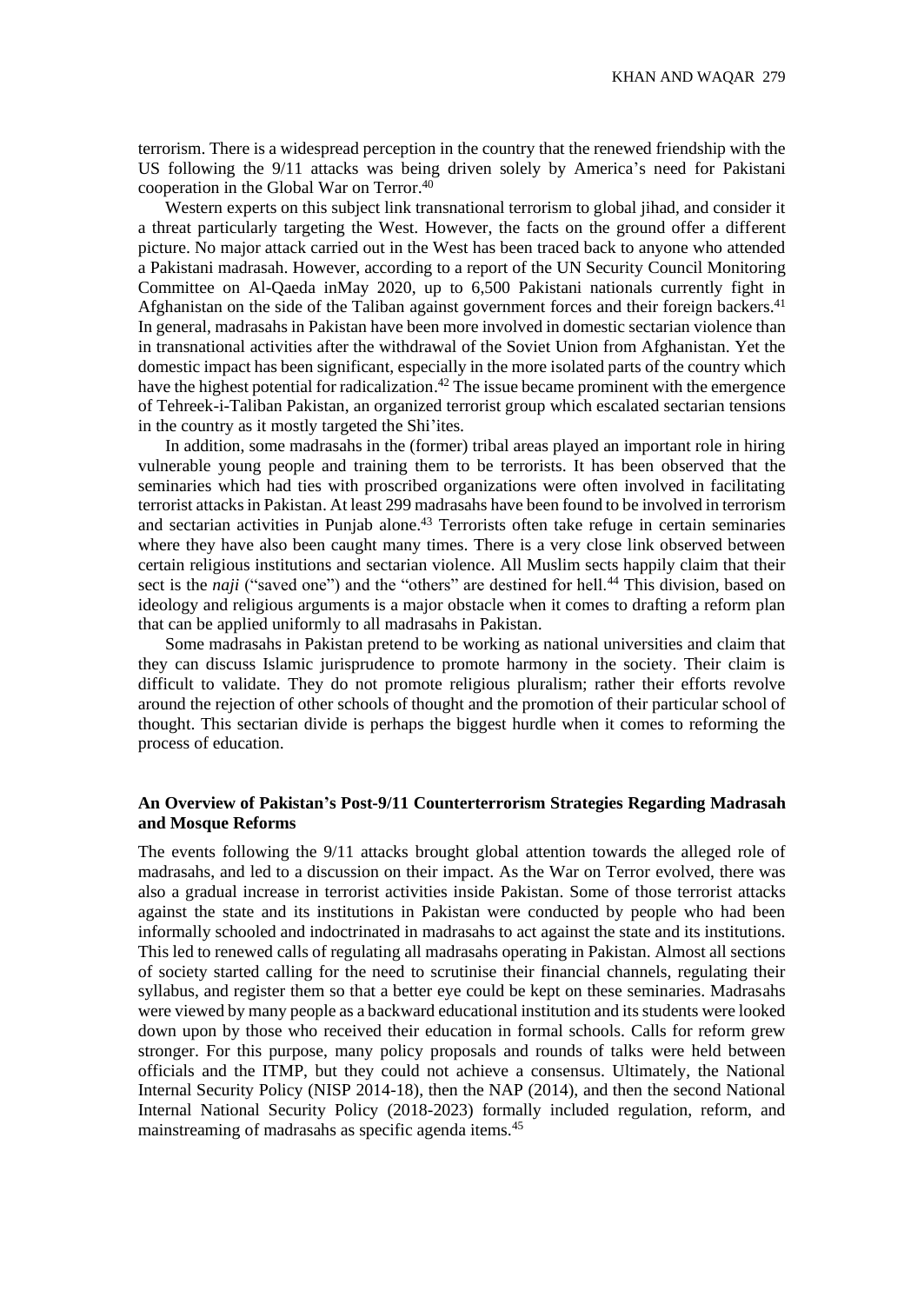terrorism. There is a widespread perception in the country that the renewed friendship with the US following the 9/11 attacks was being driven solely by America's need for Pakistani cooperation in the Global War on Terror. 40

Western experts on this subject link transnational terrorism to global jihad, and consider it a threat particularly targeting the West. However, the facts on the ground offer a different picture. No major attack carried out in the West has been traced back to anyone who attended a Pakistani madrasah. However, according to a report of the UN Security Council Monitoring Committee on Al-Qaeda inMay 2020, up to 6,500 Pakistani nationals currently fight in Afghanistan on the side of the Taliban against government forces and their foreign backers.<sup>41</sup> In general, madrasahs in Pakistan have been more involved in domestic sectarian violence than in transnational activities after the withdrawal of the Soviet Union from Afghanistan. Yet the domestic impact has been significant, especially in the more isolated parts of the country which have the highest potential for radicalization.<sup>42</sup> The issue became prominent with the emergence of Tehreek-i-Taliban Pakistan, an organized terrorist group which escalated sectarian tensions in the country as it mostly targeted the Shi'ites.

In addition, some madrasahs in the (former) tribal areas played an important role in hiring vulnerable young people and training them to be terrorists. It has been observed that the seminaries which had ties with proscribed organizations were often involved in facilitating terrorist attacks in Pakistan. At least 299 madrasahs have been found to be involved in terrorism and sectarian activities in Punjab alone.<sup>43</sup> Terrorists often take refuge in certain seminaries where they have also been caught many times. There is a very close link observed between certain religious institutions and sectarian violence. All Muslim sects happily claim that their sect is the *naji* ("saved one") and the "others" are destined for hell.<sup>44</sup> This division, based on ideology and religious arguments is a major obstacle when it comes to drafting a reform plan that can be applied uniformly to all madrasahs in Pakistan.

Some madrasahs in Pakistan pretend to be working as national universities and claim that they can discuss Islamic jurisprudence to promote harmony in the society. Their claim is difficult to validate. They do not promote religious pluralism; rather their efforts revolve around the rejection of other schools of thought and the promotion of their particular school of thought. This sectarian divide is perhaps the biggest hurdle when it comes to reforming the process of education.

# **An Overview of Pakistan's Post-9/11 Counterterrorism Strategies Regarding Madrasah and Mosque Reforms**

The events following the 9/11 attacks brought global attention towards the alleged role of madrasahs, and led to a discussion on their impact. As the War on Terror evolved, there was also a gradual increase in terrorist activities inside Pakistan. Some of those terrorist attacks against the state and its institutions in Pakistan were conducted by people who had been informally schooled and indoctrinated in madrasahs to act against the state and its institutions. This led to renewed calls of regulating all madrasahs operating in Pakistan. Almost all sections of society started calling for the need to scrutinise their financial channels, regulating their syllabus, and register them so that a better eye could be kept on these seminaries. Madrasahs were viewed by many people as a backward educational institution and its students were looked down upon by those who received their education in formal schools. Calls for reform grew stronger. For this purpose, many policy proposals and rounds of talks were held between officials and the ITMP, but they could not achieve a consensus. Ultimately, the National Internal Security Policy (NISP 2014-18), then the NAP (2014), and then the second National Internal National Security Policy (2018-2023) formally included regulation, reform, and mainstreaming of madrasahs as specific agenda items.45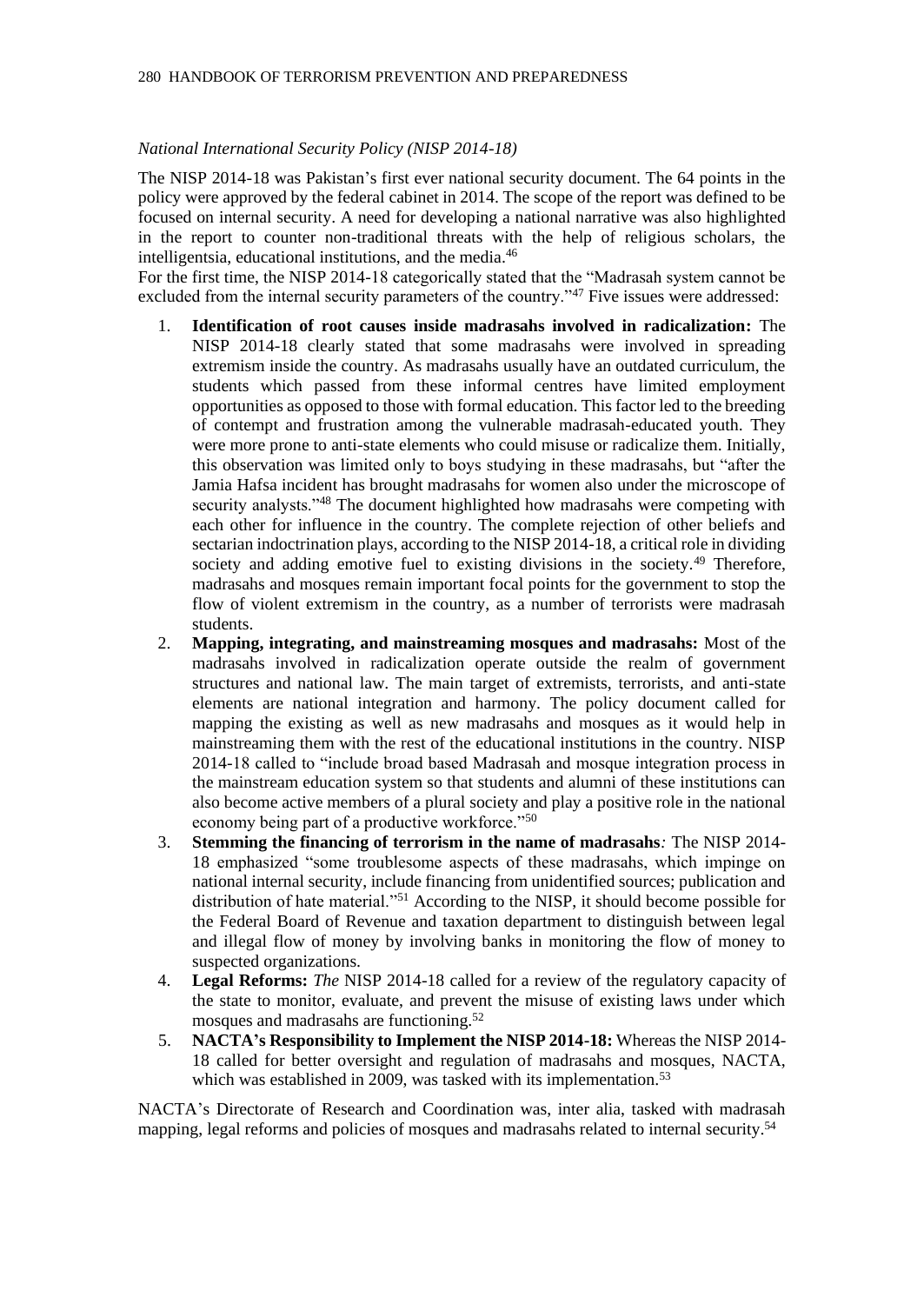### *National International Security Policy (NISP 2014-18)*

The NISP 2014-18 was Pakistan's first ever national security document. The 64 points in the policy were approved by the federal cabinet in 2014. The scope of the report was defined to be focused on internal security. A need for developing a national narrative was also highlighted in the report to counter non-traditional threats with the help of religious scholars, the intelligentsia, educational institutions, and the media.<sup>46</sup>

For the first time, the NISP 2014-18 categorically stated that the "Madrasah system cannot be excluded from the internal security parameters of the country.<sup>347</sup> Five issues were addressed:

- 1. **Identification of root causes inside madrasahs involved in radicalization:** The NISP 2014-18 clearly stated that some madrasahs were involved in spreading extremism inside the country. As madrasahs usually have an outdated curriculum, the students which passed from these informal centres have limited employment opportunities as opposed to those with formal education. This factor led to the breeding of contempt and frustration among the vulnerable madrasah-educated youth. They were more prone to anti-state elements who could misuse or radicalize them. Initially, this observation was limited only to boys studying in these madrasahs, but "after the Jamia Hafsa incident has brought madrasahs for women also under the microscope of security analysts."<sup>48</sup> The document highlighted how madrasahs were competing with each other for influence in the country. The complete rejection of other beliefs and sectarian indoctrination plays, according to the NISP 2014-18, a critical role in dividing society and adding emotive fuel to existing divisions in the society.<sup>49</sup> Therefore, madrasahs and mosques remain important focal points for the government to stop the flow of violent extremism in the country, as a number of terrorists were madrasah students.
- 2. **Mapping, integrating, and mainstreaming mosques and madrasahs:** Most of the madrasahs involved in radicalization operate outside the realm of government structures and national law. The main target of extremists, terrorists, and anti-state elements are national integration and harmony. The policy document called for mapping the existing as well as new madrasahs and mosques as it would help in mainstreaming them with the rest of the educational institutions in the country. NISP 2014-18 called to "include broad based Madrasah and mosque integration process in the mainstream education system so that students and alumni of these institutions can also become active members of a plural society and play a positive role in the national economy being part of a productive workforce."<sup>50</sup>
- 3. **Stemming the financing of terrorism in the name of madrasahs***:* The NISP 2014- 18 emphasized "some troublesome aspects of these madrasahs, which impinge on national internal security, include financing from unidentified sources; publication and distribution of hate material."<sup>51</sup> According to the NISP, it should become possible for the Federal Board of Revenue and taxation department to distinguish between legal and illegal flow of money by involving banks in monitoring the flow of money to suspected organizations.
- 4. **Legal Reforms:** *The* NISP 2014-18 called for a review of the regulatory capacity of the state to monitor, evaluate, and prevent the misuse of existing laws under which mosques and madrasahs are functioning.<sup>52</sup>
- 5. **NACTA's Responsibility to Implement the NISP 2014-18:** Whereas the NISP 2014- 18 called for better oversight and regulation of madrasahs and mosques, NACTA, which was established in 2009, was tasked with its implementation.<sup>53</sup>

NACTA's Directorate of Research and Coordination was, inter alia, tasked with madrasah mapping, legal reforms and policies of mosques and madrasahs related to internal security.<sup>54</sup>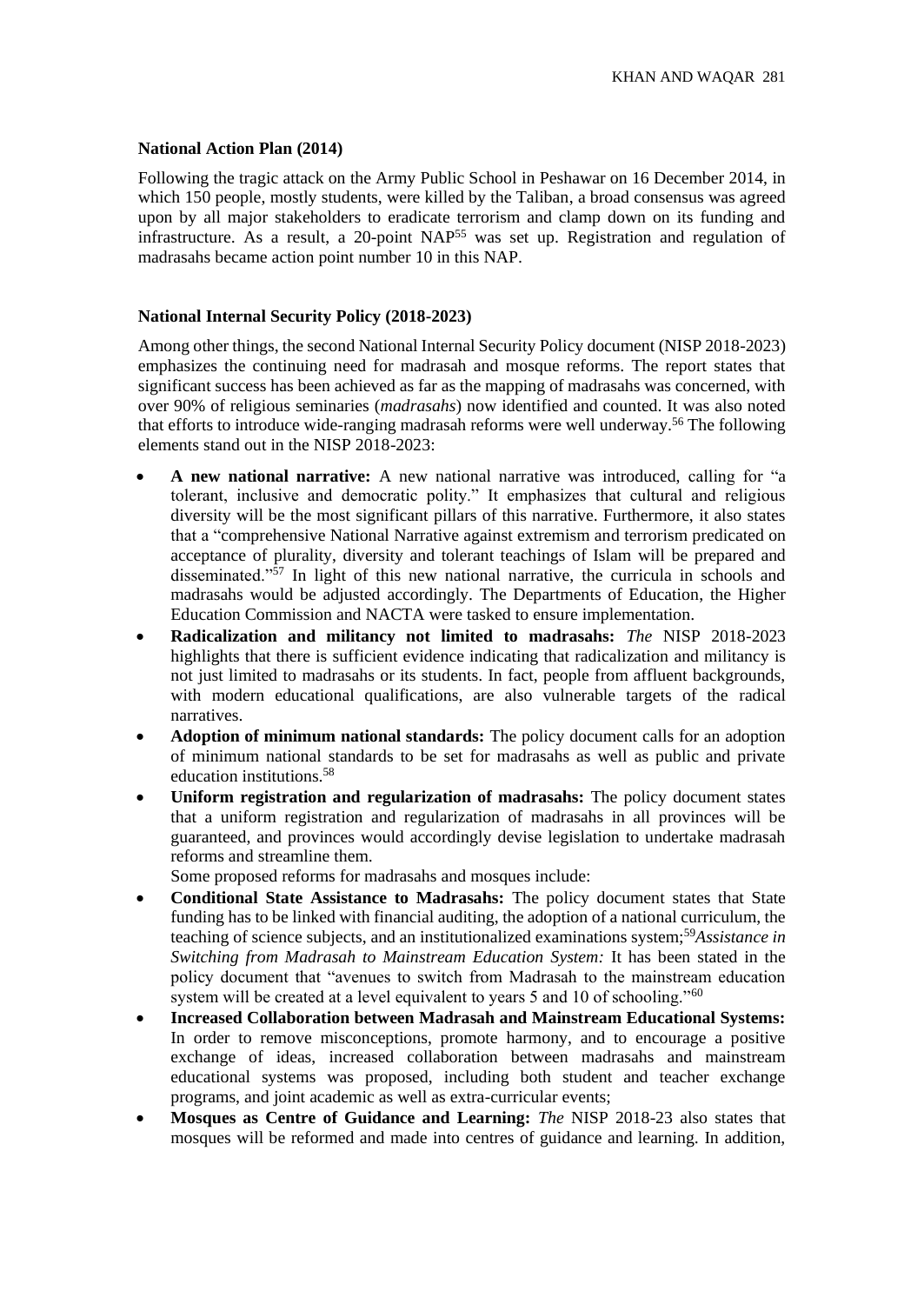# **National Action Plan (2014)**

Following the tragic attack on the Army Public School in Peshawar on 16 December 2014, in which 150 people, mostly students, were killed by the Taliban, a broad consensus was agreed upon by all major stakeholders to eradicate terrorism and clamp down on its funding and infrastructure. As a result, a 20-point NAP<sup>55</sup> was set up. Registration and regulation of madrasahs became action point number 10 in this NAP.

# **National Internal Security Policy (2018-2023)**

Among other things, the second National Internal Security Policy document (NISP 2018-2023) emphasizes the continuing need for madrasah and mosque reforms. The report states that significant success has been achieved as far as the mapping of madrasahs was concerned, with over 90% of religious seminaries (*madrasahs*) now identified and counted. It was also noted that efforts to introduce wide-ranging madrasah reforms were well underway.<sup>56</sup> The following elements stand out in the NISP 2018-2023:

- **A new national narrative:** A new national narrative was introduced, calling for "a tolerant, inclusive and democratic polity." It emphasizes that cultural and religious diversity will be the most significant pillars of this narrative. Furthermore, it also states that a "comprehensive National Narrative against extremism and terrorism predicated on acceptance of plurality, diversity and tolerant teachings of Islam will be prepared and disseminated."<sup>57</sup> In light of this new national narrative, the curricula in schools and madrasahs would be adjusted accordingly. The Departments of Education, the Higher Education Commission and NACTA were tasked to ensure implementation.
- **Radicalization and militancy not limited to madrasahs:** *The* NISP 2018-2023 highlights that there is sufficient evidence indicating that radicalization and militancy is not just limited to madrasahs or its students. In fact, people from affluent backgrounds, with modern educational qualifications, are also vulnerable targets of the radical narratives.
- **Adoption of minimum national standards:** The policy document calls for an adoption of minimum national standards to be set for madrasahs as well as public and private education institutions.<sup>58</sup>
- **Uniform registration and regularization of madrasahs:** The policy document states that a uniform registration and regularization of madrasahs in all provinces will be guaranteed, and provinces would accordingly devise legislation to undertake madrasah reforms and streamline them.

Some proposed reforms for madrasahs and mosques include:

- **Conditional State Assistance to Madrasahs:** The policy document states that State funding has to be linked with financial auditing, the adoption of a national curriculum, the teaching of science subjects, and an institutionalized examinations system;<sup>59</sup>*Assistance in Switching from Madrasah to Mainstream Education System:* It has been stated in the policy document that "avenues to switch from Madrasah to the mainstream education system will be created at a level equivalent to years 5 and 10 of schooling."<sup>60</sup>
- **Increased Collaboration between Madrasah and Mainstream Educational Systems:** In order to remove misconceptions, promote harmony, and to encourage a positive exchange of ideas, increased collaboration between madrasahs and mainstream educational systems was proposed, including both student and teacher exchange programs, and joint academic as well as extra-curricular events;
- **Mosques as Centre of Guidance and Learning:** *The* NISP 2018-23 also states that mosques will be reformed and made into centres of guidance and learning. In addition,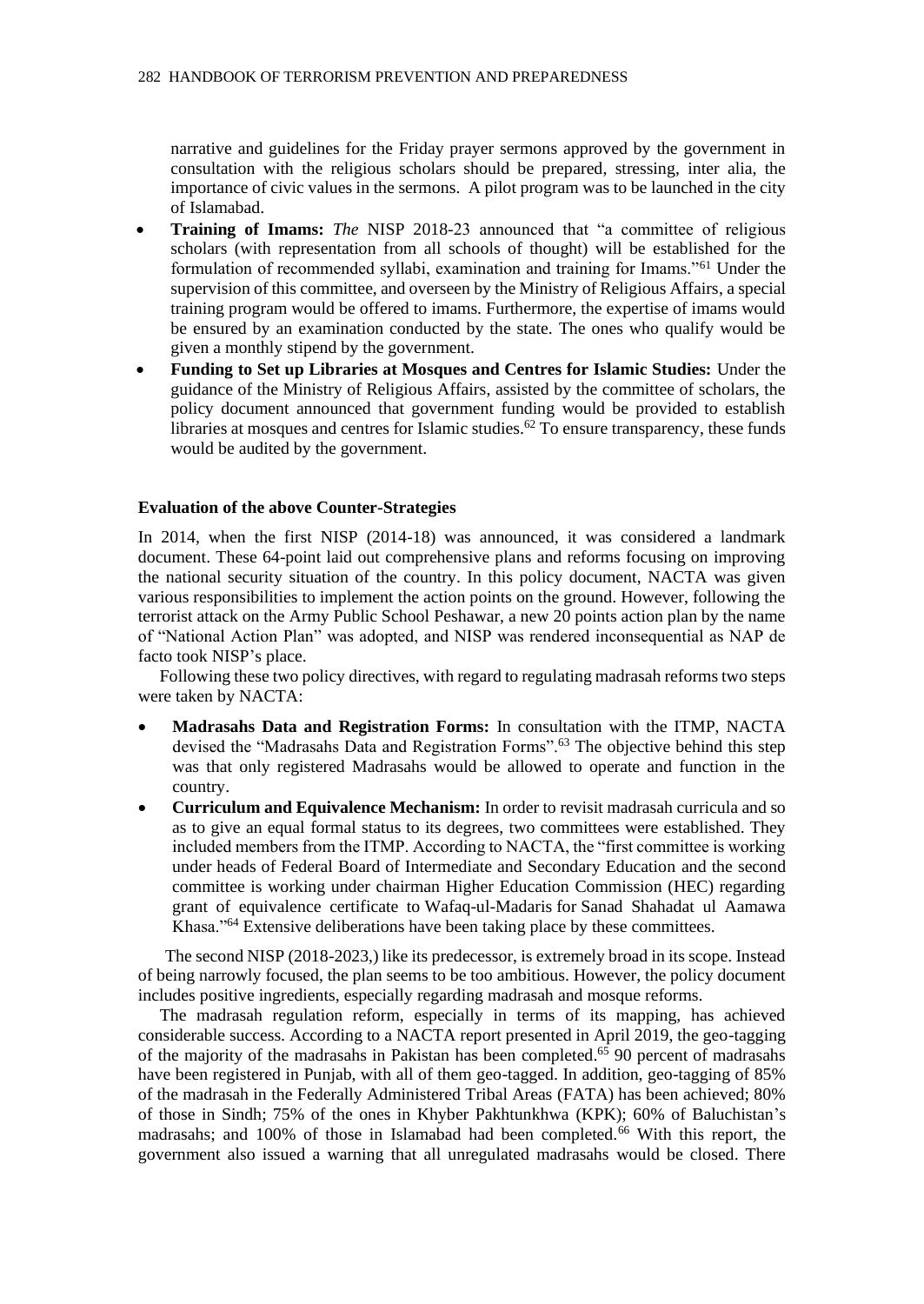narrative and guidelines for the Friday prayer sermons approved by the government in consultation with the religious scholars should be prepared, stressing, inter alia, the importance of civic values in the sermons. A pilot program was to be launched in the city of Islamabad.

- **Training of Imams:** *The* NISP 2018-23 announced that "a committee of religious scholars (with representation from all schools of thought) will be established for the formulation of recommended syllabi, examination and training for Imams."<sup>61</sup> Under the supervision of this committee, and overseen by the Ministry of Religious Affairs, a special training program would be offered to imams. Furthermore, the expertise of imams would be ensured by an examination conducted by the state. The ones who qualify would be given a monthly stipend by the government.
- **Funding to Set up Libraries at Mosques and Centres for Islamic Studies:** Under the guidance of the Ministry of Religious Affairs, assisted by the committee of scholars, the policy document announced that government funding would be provided to establish libraries at mosques and centres for Islamic studies.<sup>62</sup> To ensure transparency, these funds would be audited by the government.

#### **Evaluation of the above Counter-Strategies**

In 2014, when the first NISP (2014-18) was announced, it was considered a landmark document. These 64-point laid out comprehensive plans and reforms focusing on improving the national security situation of the country. In this policy document, NACTA was given various responsibilities to implement the action points on the ground. However, following the terrorist attack on the Army Public School Peshawar, a new 20 points action plan by the name of "National Action Plan" was adopted, and NISP was rendered inconsequential as NAP de facto took NISP's place.

 Following these two policy directives, with regard to regulating madrasah reforms two steps were taken by NACTA:

- **Madrasahs Data and Registration Forms:** In consultation with the ITMP, NACTA devised the "Madrasahs Data and Registration Forms".<sup>63</sup> The objective behind this step was that only registered Madrasahs would be allowed to operate and function in the country.
- **Curriculum and Equivalence Mechanism:** In order to revisit madrasah curricula and so as to give an equal formal status to its degrees, two committees were established. They included members from the ITMP. According to NACTA, the "first committee is working under heads of Federal Board of Intermediate and Secondary Education and the second committee is working under chairman Higher Education Commission (HEC) regarding grant of equivalence certificate to Wafaq-ul-Madaris for Sanad Shahadat ul Aamawa Khasa."<sup>64</sup> Extensive deliberations have been taking place by these committees.

The second NISP (2018-2023,) like its predecessor, is extremely broad in its scope. Instead of being narrowly focused, the plan seems to be too ambitious. However, the policy document includes positive ingredients, especially regarding madrasah and mosque reforms.

 The madrasah regulation reform, especially in terms of its mapping, has achieved considerable success. According to a NACTA report presented in April 2019, the geo-tagging of the majority of the madrasahs in Pakistan has been completed.<sup>65</sup> 90 percent of madrasahs have been registered in Punjab, with all of them geo-tagged. In addition, geo-tagging of 85% of the madrasah in the Federally Administered Tribal Areas (FATA) has been achieved; 80% of those in Sindh; 75% of the ones in Khyber Pakhtunkhwa (KPK); 60% of Baluchistan's madrasahs; and 100% of those in Islamabad had been completed.<sup>66</sup> With this report, the government also issued a warning that all unregulated madrasahs would be closed. There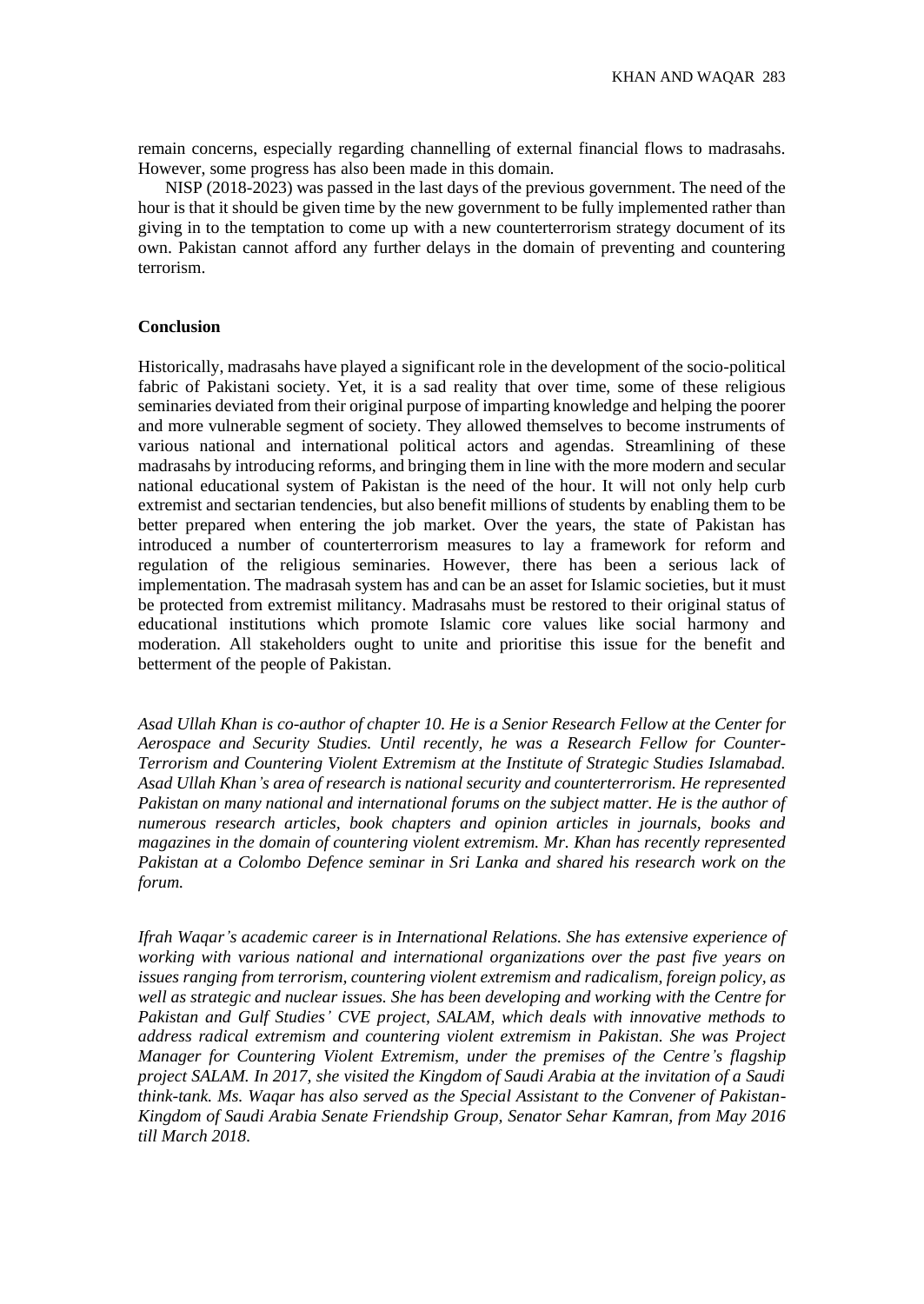remain concerns, especially regarding channelling of external financial flows to madrasahs. However, some progress has also been made in this domain.

NISP (2018-2023) was passed in the last days of the previous government. The need of the hour is that it should be given time by the new government to be fully implemented rather than giving in to the temptation to come up with a new counterterrorism strategy document of its own. Pakistan cannot afford any further delays in the domain of preventing and countering terrorism.

#### **Conclusion**

Historically, madrasahs have played a significant role in the development of the socio-political fabric of Pakistani society. Yet, it is a sad reality that over time, some of these religious seminaries deviated from their original purpose of imparting knowledge and helping the poorer and more vulnerable segment of society. They allowed themselves to become instruments of various national and international political actors and agendas. Streamlining of these madrasahs by introducing reforms, and bringing them in line with the more modern and secular national educational system of Pakistan is the need of the hour. It will not only help curb extremist and sectarian tendencies, but also benefit millions of students by enabling them to be better prepared when entering the job market. Over the years, the state of Pakistan has introduced a number of counterterrorism measures to lay a framework for reform and regulation of the religious seminaries. However, there has been a serious lack of implementation. The madrasah system has and can be an asset for Islamic societies, but it must be protected from extremist militancy. Madrasahs must be restored to their original status of educational institutions which promote Islamic core values like social harmony and moderation. All stakeholders ought to unite and prioritise this issue for the benefit and betterment of the people of Pakistan.

*Asad Ullah Khan is co-author of chapter 10. He is a Senior Research Fellow at the Center for Aerospace and Security Studies. Until recently, he was a Research Fellow for Counter-Terrorism and Countering Violent Extremism at the Institute of Strategic Studies Islamabad. Asad Ullah Khan's area of research is national security and counterterrorism. He represented Pakistan on many national and international forums on the subject matter. He is the author of numerous research articles, book chapters and opinion articles in journals, books and magazines in the domain of countering violent extremism. Mr. Khan has recently represented Pakistan at a Colombo Defence seminar in Sri Lanka and shared his research work on the forum.* 

*Ifrah Waqar's academic career is in International Relations. She has extensive experience of working with various national and international organizations over the past five years on issues ranging from terrorism, countering violent extremism and radicalism, foreign policy, as well as strategic and nuclear issues. She has been developing and working with the Centre for Pakistan and Gulf Studies' CVE project, SALAM, which deals with innovative methods to address radical extremism and countering violent extremism in Pakistan. She was Project Manager for Countering Violent Extremism, under the premises of the Centre's flagship project SALAM. In 2017, she visited the Kingdom of Saudi Arabia at the invitation of a Saudi think-tank. Ms. Waqar has also served as the Special Assistant to the Convener of Pakistan-Kingdom of Saudi Arabia Senate Friendship Group, Senator Sehar Kamran, from May 2016 till March 2018.*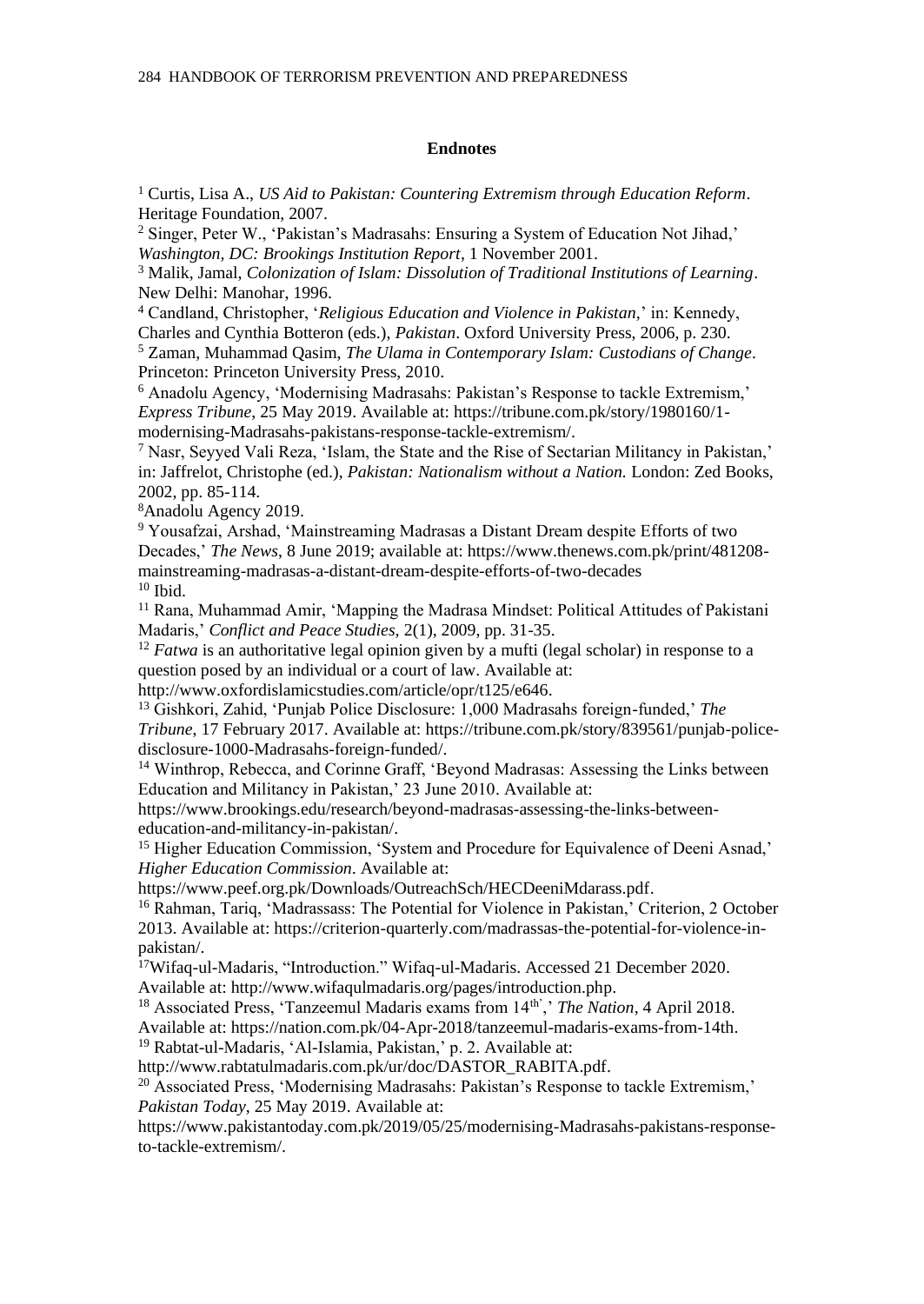#### **Endnotes**

<sup>1</sup> Curtis, Lisa A., *US Aid to Pakistan: Countering Extremism through Education Reform*. Heritage Foundation, 2007.

<sup>2</sup> Singer, Peter W., 'Pakistan's Madrasahs: Ensuring a System of Education Not Jihad,' *Washington, DC: Brookings Institution Report*, 1 November 2001.

<sup>3</sup> Malik, Jamal, *Colonization of Islam: Dissolution of Traditional Institutions of Learning*. New Delhi: Manohar, 1996.

<sup>4</sup> Candland, Christopher, '*Religious Education and Violence in Pakistan,*' in: Kennedy, Charles and Cynthia Botteron (eds.), *Pakistan*. Oxford University Press, 2006, p. 230. <sup>5</sup> Zaman, Muhammad Qasim, *The Ulama in Contemporary Islam: Custodians of Change*. Princeton: Princeton University Press, 2010.

<sup>6</sup> Anadolu Agency, 'Modernising Madrasahs: Pakistan's Response to tackle Extremism,' *Express Tribune*, 25 May 2019. Available at[: https://tribune.com.pk/story/1980160/1](https://tribune.com.pk/story/1980160/1-modernising-madrassas-pakistans-response-tackle-extremism/) [modernising-Madrasahs-pakistans-response-tackle-extremism/.](https://tribune.com.pk/story/1980160/1-modernising-madrassas-pakistans-response-tackle-extremism/)

 $<sup>7</sup>$  Nasr, Seyyed Vali Reza, 'Islam, the State and the Rise of Sectarian Militancy in Pakistan,'</sup> in: Jaffrelot, Christophe (ed.), *Pakistan: Nationalism without a Nation.* London: Zed Books, 2002, pp. 85-114.

<sup>8</sup>Anadolu Agency 2019.

<sup>9</sup> Yousafzai, Arshad, 'Mainstreaming Madrasas a Distant Dream despite Efforts of two Decades,' *The News*, 8 June 2019; available at: [https://www.thenews.com.pk/print/481208](https://www.thenews.com.pk/print/481208-mainstreaming-madrasas-a-distant-dream-despite-efforts-of-two-decades) [mainstreaming-madrasas-a-distant-dream-despite-efforts-of-two-decades](https://www.thenews.com.pk/print/481208-mainstreaming-madrasas-a-distant-dream-despite-efforts-of-two-decades)  $10$  Ibid.

<sup>11</sup> Rana, Muhammad Amir, 'Mapping the Madrasa Mindset: Political Attitudes of Pakistani Madaris,' *Conflict and Peace Studies,* 2(1), 2009, pp. 31-35.

<sup>12</sup> *Fatwa* is an authoritative legal opinion given by a mufti (legal scholar) in response to a question posed by an individual or a court of law. Available at:

[http://www.oxfordislamicstudies.com/article/opr/t125/e646.](http://www.oxfordislamicstudies.com/article/opr/t125/e646)

<sup>13</sup> Gishkori, Zahid, 'Punjab Police Disclosure: 1,000 Madrasahs foreign-funded,' *The Tribune*, 17 February 2017. Available at: [https://tribune.com.pk/story/839561/punjab-police](https://tribune.com.pk/story/839561/punjab-police-disclosure-1000-Madrasahs-foreign-funded/)[disclosure-1000-Madrasahs-foreign-funded/.](https://tribune.com.pk/story/839561/punjab-police-disclosure-1000-Madrasahs-foreign-funded/)

<sup>14</sup> Winthrop, Rebecca, and Corinne Graff, 'Beyond Madrasas: Assessing the Links between Education and Militancy in Pakistan,' 23 June 2010. Available at:

[https://www.brookings.edu/research/beyond-madrasas-assessing-the-links-between](https://www.brookings.edu/research/beyond-madrasas-assessing-the-links-between-education-and-militancy-in-pakistan/)[education-and-militancy-in-pakistan/.](https://www.brookings.edu/research/beyond-madrasas-assessing-the-links-between-education-and-militancy-in-pakistan/)

<sup>15</sup> Higher Education Commission, 'System and Procedure for Equivalence of Deeni Asnad,' *Higher Education Commission*. Available at:

[https://www.peef.org.pk/Downloads/OutreachSch/HECDeeniMdarass.pdf.](https://www.peef.org.pk/Downloads/OutreachSch/HECDeeniMdarass.pdf)

<sup>16</sup> Rahman, Tariq, 'Madrassass: The Potential for Violence in Pakistan,' Criterion, 2 October 2013. Available at: https://criterion-quarterly.com/madrassas-the-potential-for-violence-inpakistan/.

<sup>17</sup>Wifaq-ul-Madaris, "Introduction." Wifaq-ul-Madaris. Accessed 21 December 2020.

Available at: http://www.wifaqulmadaris.org/pages/introduction.php.

<sup>18</sup> Associated Press, 'Tanzeemul Madaris exams from 14<sup>th'</sup>,' *The Nation*, 4 April 2018.

Available at[: https://nation.com.pk/04-Apr-2018/tanzeemul-madaris-exams-from-14th.](https://nation.com.pk/04-Apr-2018/tanzeemul-madaris-exams-from-14th)

<sup>19</sup> Rabtat-ul-Madaris, 'Al-Islamia, Pakistan,' p. 2. Available at:

[http://www.rabtatulmadaris.com.pk/ur/doc/DASTOR\\_RABITA.pdf.](http://www.rabtatulmadaris.com.pk/ur/doc/DASTOR_RABITA.pdf)

 $^{20}$  Associated Press, 'Modernising Madrasahs: Pakistan's Response to tackle Extremism,' *Pakistan Today*, 25 May 2019. Available at:

[https://www.pakistantoday.com.pk/2019/05/25/modernising-Madrasahs-pakistans-response](https://www.pakistantoday.com.pk/2019/05/25/modernising-madrassas-pakistans-response-to-tackle-extremism/)[to-tackle-extremism/.](https://www.pakistantoday.com.pk/2019/05/25/modernising-madrassas-pakistans-response-to-tackle-extremism/)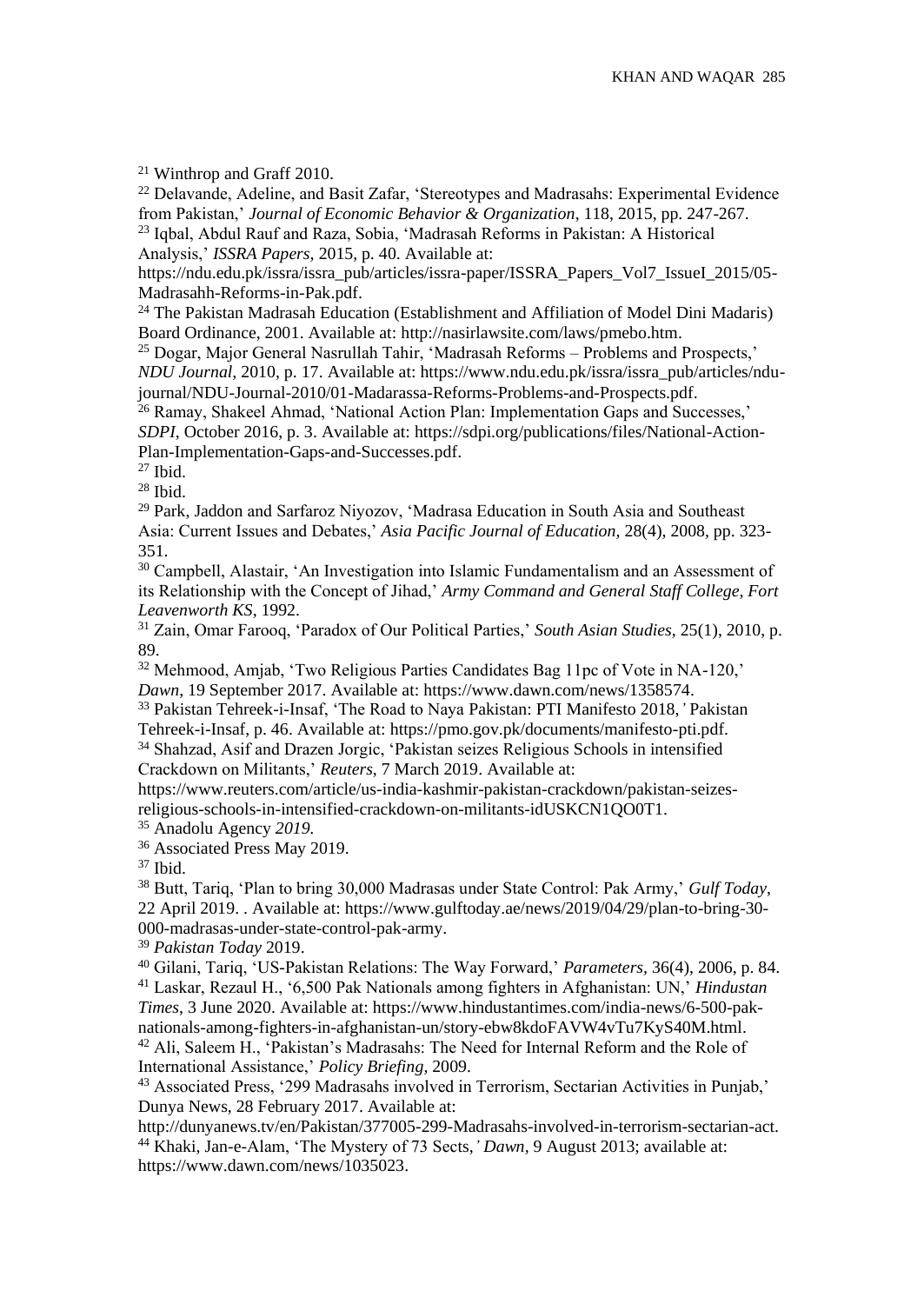<sup>21</sup> Winthrop and Graff 2010.

<sup>22</sup> Delavande, Adeline, and Basit Zafar, 'Stereotypes and Madrasahs: Experimental Evidence from Pakistan,' *Journal of Economic Behavior & Organization*, 118, 2015, pp. 247-267. <sup>23</sup> Iqbal, Abdul Rauf and Raza, Sobia, 'Madrasah Reforms in Pakistan: A Historical

Analysis,' *ISSRA Papers,* 2015, p. 40. Available at:

[https://ndu.edu.pk/issra/issra\\_pub/articles/issra-paper/ISSRA\\_Papers\\_Vol7\\_IssueI\\_2015/05-](https://ndu.edu.pk/issra/issra_pub/articles/issra-paper/ISSRA_Papers_Vol7_IssueI_2015/05-Madrassah-Reforms-in-Pak.pdf) [Madrasahh-Reforms-in-Pak.pdf.](https://ndu.edu.pk/issra/issra_pub/articles/issra-paper/ISSRA_Papers_Vol7_IssueI_2015/05-Madrassah-Reforms-in-Pak.pdf)

<sup>24</sup> The Pakistan Madrasah Education (Establishment and Affiliation of Model Dini Madaris) Board Ordinance, 2001. Available at[: http://nasirlawsite.com/laws/pmebo.htm.](http://nasirlawsite.com/laws/pmebo.htm)

<sup>25</sup> Dogar, Major General Nasrullah Tahir, 'Madrasah Reforms – Problems and Prospects,' *NDU Journal,* 2010, p. 17. Available at[: https://www.ndu.edu.pk/issra/issra\\_pub/articles/ndu](https://www.ndu.edu.pk/issra/issra_pub/articles/ndu-journal/NDU-Journal-2010/01-Madarassa-Reforms-Problems-and-Prospects.pdf)[journal/NDU-Journal-2010/01-Madarassa-Reforms-Problems-and-Prospects.pdf.](https://www.ndu.edu.pk/issra/issra_pub/articles/ndu-journal/NDU-Journal-2010/01-Madarassa-Reforms-Problems-and-Prospects.pdf)

<sup>26</sup> Ramay, Shakeel Ahmad, 'National Action Plan: Implementation Gaps and Successes,' *SDPI*, October 2016, p. 3. Available at[: https://sdpi.org/publications/files/National-Action-](https://sdpi.org/publications/files/National-Action-Plan-Implementation-Gaps-and-Successes.pdf)[Plan-Implementation-Gaps-and-Successes.pdf.](https://sdpi.org/publications/files/National-Action-Plan-Implementation-Gaps-and-Successes.pdf)

 $27$  Ibid.

 $28$  Ibid.

<sup>29</sup> Park, Jaddon and Sarfaroz Niyozov, 'Madrasa Education in South Asia and Southeast Asia: Current Issues and Debates,' *Asia Pacific Journal of Education,* 28(4), 2008, pp. 323- 351.

<sup>30</sup> Campbell, Alastair, 'An Investigation into Islamic Fundamentalism and an Assessment of its Relationship with the Concept of Jihad,' *Army Command and General Staff College, Fort Leavenworth KS*, 1992.

<sup>31</sup> Zain, Omar Farooq, 'Paradox of Our Political Parties,' *South Asian Studies,* 25(1), 2010, p. 89.

<sup>32</sup> Mehmood, Amjab, 'Two Religious Parties Candidates Bag 11pc of Vote in NA-120,' *Dawn*, 19 September 2017. Available at: [https://www.dawn.com/news/1358574.](https://www.dawn.com/news/1358574)

<sup>33</sup> Pakistan Tehreek-i-Insaf, 'The Road to Naya Pakistan: PTI Manifesto 2018,*'* Pakistan Tehreek-i-Insaf, p. 46. Available at[: https://pmo.gov.pk/documents/manifesto-pti.pdf.](https://pmo.gov.pk/documents/manifesto-pti.pdf) <sup>34</sup> Shahzad, Asif and Drazen Jorgic, 'Pakistan seizes Religious Schools in intensified

Crackdown on Militants,' *Reuters*, 7 March 2019. Available at:

[https://www.reuters.com/article/us-india-kashmir-pakistan-crackdown/pakistan-seizes](https://www.reuters.com/article/us-india-kashmir-pakistan-crackdown/pakistan-seizes-religious-schools-in-intensified-crackdown-on-militants-idUSKCN1QO0T1)[religious-schools-in-intensified-crackdown-on-militants-idUSKCN1QO0T1.](https://www.reuters.com/article/us-india-kashmir-pakistan-crackdown/pakistan-seizes-religious-schools-in-intensified-crackdown-on-militants-idUSKCN1QO0T1)

<sup>35</sup> Anadolu Agency *2019.*

<sup>36</sup> Associated Press May 2019.

<sup>37</sup> Ibid.

<sup>38</sup> Butt, Tariq, 'Plan to bring 30,000 Madrasas under State Control: Pak Army,' *Gulf Today*, 22 April 2019. . Available at: [https://www.gulftoday.ae/news/2019/04/29/plan-to-bring-30-](https://www.gulftoday.ae/news/2019/04/29/plan-to-bring-30-000-madrasas-under-state-control-pak-army) [000-madrasas-under-state-control-pak-army.](https://www.gulftoday.ae/news/2019/04/29/plan-to-bring-30-000-madrasas-under-state-control-pak-army)

<sup>39</sup> *Pakistan Today* 2019.

<sup>40</sup> Gilani, Tariq, 'US-Pakistan Relations: The Way Forward,' *Parameters,* 36(4), 2006, p. 84. <sup>41</sup> Laskar, Rezaul H., '6,500 Pak Nationals among fighters in Afghanistan: UN,' *Hindustan Times*, 3 June 2020. Available at[: https://www.hindustantimes.com/india-news/6-500-pak](https://www.hindustantimes.com/india-news/6-500-pak-nationals-among-fighters-in-afghanistan-un/story-ebw8kdoFAVW4vTu7KyS40M.html)[nationals-among-fighters-in-afghanistan-un/story-ebw8kdoFAVW4vTu7KyS40M.html.](https://www.hindustantimes.com/india-news/6-500-pak-nationals-among-fighters-in-afghanistan-un/story-ebw8kdoFAVW4vTu7KyS40M.html) <sup>42</sup> Ali, Saleem H., 'Pakistan's Madrasahs: The Need for Internal Reform and the Role of International Assistance,' *Policy Briefing,* 2009.

<sup>43</sup> Associated Press, '299 Madrasahs involved in Terrorism, Sectarian Activities in Punjab,' Dunya News, 28 February 2017. Available at:

[http://dunyanews.tv/en/Pakistan/377005-299-Madrasahs-involved-in-terrorism-sectarian-act.](http://dunyanews.tv/en/Pakistan/377005-299-Madrasahs-involved-in-terrorism-sectarian-act) <sup>44</sup> Khaki, Jan-e-Alam, 'The Mystery of 73 Sects,*' Dawn,* 9 August 2013; available at: [https://www.dawn.com/news/1035023.](https://www.dawn.com/news/1035023)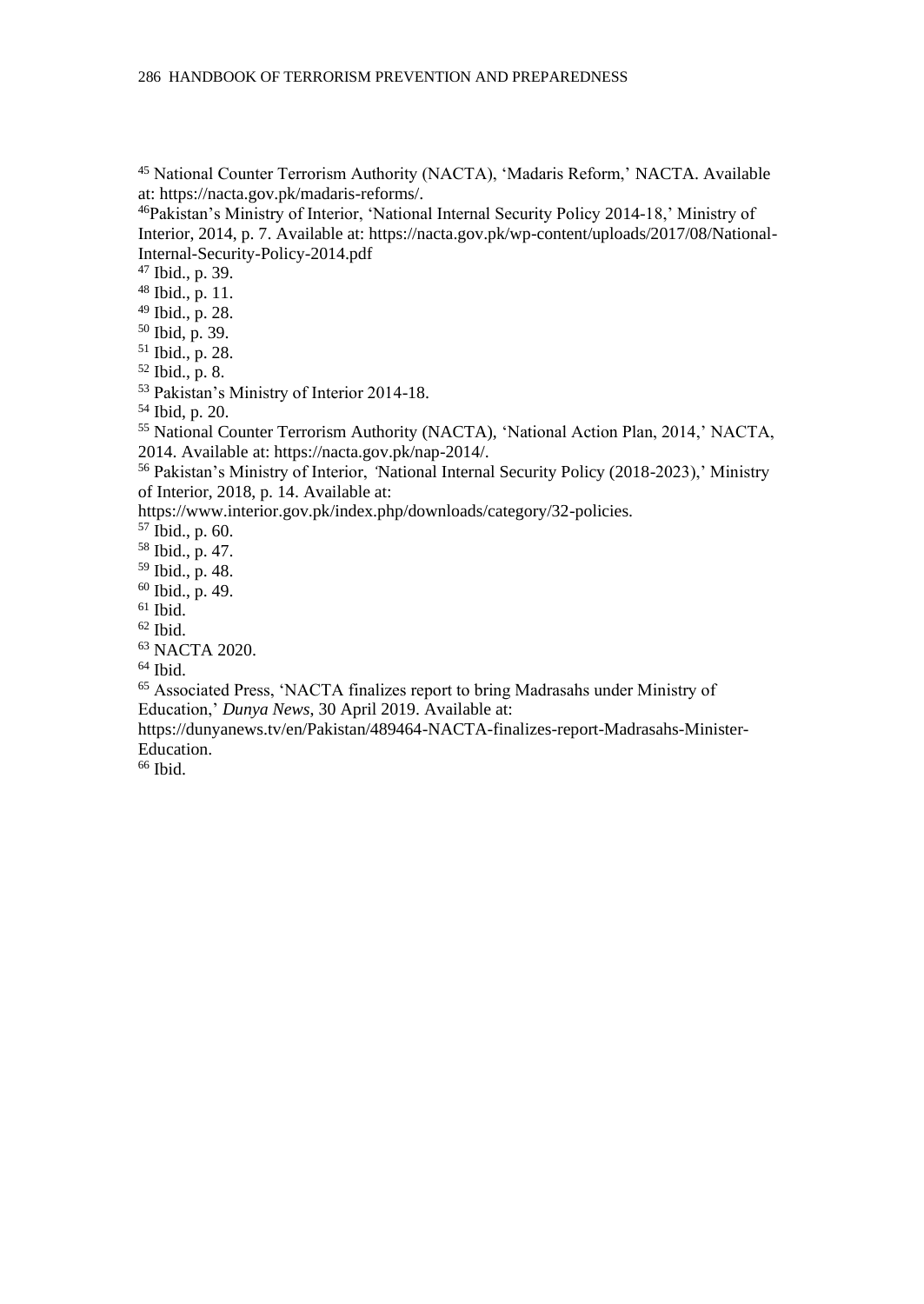National Counter Terrorism Authority (NACTA), 'Madaris Reform,' NACTA. Available at: [https://nacta.gov.pk/madaris-reforms/.](https://nacta.gov.pk/madaris-reforms/)

Pakistan's Ministry of Interior, 'National Internal Security Policy 2014-18,' Ministry of Interior, 2014, p. 7. Available at[: https://nacta.gov.pk/wp-content/uploads/2017/08/National-](https://nacta.gov.pk/wp-content/uploads/2017/08/National-Internal-Security-Policy-2014.pdf)[Internal-Security-Policy-2014.pdf](https://nacta.gov.pk/wp-content/uploads/2017/08/National-Internal-Security-Policy-2014.pdf)

Ibid., p. 39.

 Ibid., p. 11. Ibid., p. 28.

Ibid, p. 39.

Ibid., p. 28.

Ibid., p. 8.

Pakistan's Ministry of Interior 2014-18.

Ibid, p. 20.

 National Counter Terrorism Authority (NACTA), 'National Action Plan, 2014,' NACTA, 2014. Available at: [https://nacta.gov.pk/nap-2014/.](https://nacta.gov.pk/nap-2014/)

 Pakistan's Ministry of Interior, *'*National Internal Security Policy (2018-2023),' Ministry of Interior, 2018, p. 14. Available at:

[https://www.interior.gov.pk/index.php/downloads/category/32-policies.](https://www.interior.gov.pk/index.php/downloads/category/32-policies)

Ibid., p. 60.

Ibid., p. 47.

Ibid., p. 48.

Ibid., p. 49.

Ibid.

Ibid.

NACTA 2020.

Ibid.

 Associated Press, 'NACTA finalizes report to bring Madrasahs under Ministry of Education,' *Dunya News*, 30 April 2019. Available at:

[https://dunyanews.tv/en/Pakistan/489464-NACTA-finalizes-report-Madrasahs-Minister-](https://dunyanews.tv/en/Pakistan/489464-NACTA-finalizes-report-madrassas-Minister-Education)[Education.](https://dunyanews.tv/en/Pakistan/489464-NACTA-finalizes-report-madrassas-Minister-Education)

Ibid.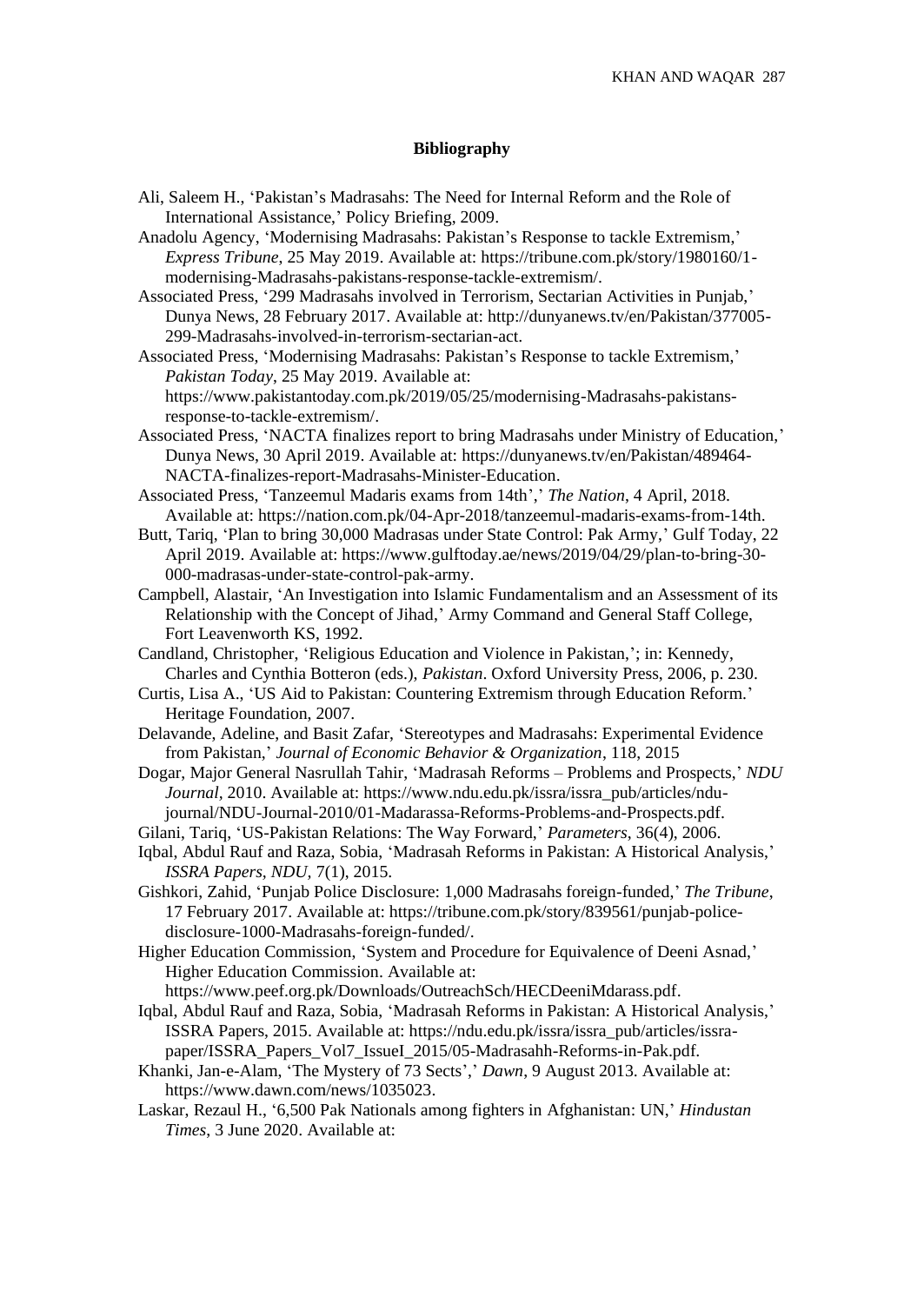## **Bibliography**

- Ali, Saleem H., 'Pakistan's Madrasahs: The Need for Internal Reform and the Role of International Assistance,' Policy Briefing, 2009.
- Anadolu Agency, 'Modernising Madrasahs: Pakistan's Response to tackle Extremism,' *Express Tribune*, 25 May 2019. Available at: [https://tribune.com.pk/story/1980160/1](https://tribune.com.pk/story/1980160/1-modernising-madrassas-pakistans-response-tackle-extremism/) [modernising-Madrasahs-pakistans-response-tackle-extremism/.](https://tribune.com.pk/story/1980160/1-modernising-madrassas-pakistans-response-tackle-extremism/)
- Associated Press, '299 Madrasahs involved in Terrorism, Sectarian Activities in Punjab,' Dunya News, 28 February 2017. Available at[: http://dunyanews.tv/en/Pakistan/377005-](http://dunyanews.tv/en/Pakistan/377005-299-Madrasahs-involved-in-terrorism-sectarian-act) [299-Madrasahs-involved-in-terrorism-sectarian-act.](http://dunyanews.tv/en/Pakistan/377005-299-Madrasahs-involved-in-terrorism-sectarian-act)
- Associated Press, 'Modernising Madrasahs: Pakistan's Response to tackle Extremism,' *Pakistan Today*, 25 May 2019. Available at: [https://www.pakistantoday.com.pk/2019/05/25/modernising-Madrasahs-pakistans](https://www.pakistantoday.com.pk/2019/05/25/modernising-Madrasahs-pakistans-response-to-tackle-extremism/)[response-to-tackle-extremism/.](https://www.pakistantoday.com.pk/2019/05/25/modernising-Madrasahs-pakistans-response-to-tackle-extremism/)
- Associated Press, 'NACTA finalizes report to bring Madrasahs under Ministry of Education,' Dunya News, 30 April 2019. Available at: [https://dunyanews.tv/en/Pakistan/489464-](https://dunyanews.tv/en/Pakistan/489464-NACTA-finalizes-report-madrassas-Minister-Education) [NACTA-finalizes-report-Madrasahs-Minister-Education.](https://dunyanews.tv/en/Pakistan/489464-NACTA-finalizes-report-madrassas-Minister-Education)
- Associated Press, 'Tanzeemul Madaris exams from 14th',' *The Nation*, 4 April, 2018. Available at[: https://nation.com.pk/04-Apr-2018/tanzeemul-madaris-exams-from-14th.](https://nation.com.pk/04-Apr-2018/tanzeemul-madaris-exams-from-14th)
- Butt, Tariq, 'Plan to bring 30,000 Madrasas under State Control: Pak Army,' Gulf Today, 22 April 2019. Available at: [https://www.gulftoday.ae/news/2019/04/29/plan-to-bring-30-](https://www.gulftoday.ae/news/2019/04/29/plan-to-bring-30-000-madrasas-under-state-control-pak-army) [000-madrasas-under-state-control-pak-army.](https://www.gulftoday.ae/news/2019/04/29/plan-to-bring-30-000-madrasas-under-state-control-pak-army)
- Campbell, Alastair, 'An Investigation into Islamic Fundamentalism and an Assessment of its Relationship with the Concept of Jihad,' Army Command and General Staff College, Fort Leavenworth KS, 1992.
- Candland, Christopher, 'Religious Education and Violence in Pakistan,'; in: Kennedy, Charles and Cynthia Botteron (eds.), *Pakistan*. Oxford University Press, 2006, p. 230.
- Curtis, Lisa A., 'US Aid to Pakistan: Countering Extremism through Education Reform.' Heritage Foundation, 2007.
- Delavande, Adeline, and Basit Zafar, 'Stereotypes and Madrasahs: Experimental Evidence from Pakistan,' *Journal of Economic Behavior & Organization*, 118, 2015
- Dogar, Major General Nasrullah Tahir, 'Madrasah Reforms Problems and Prospects,' *NDU Journal*, 2010. Available at[: https://www.ndu.edu.pk/issra/issra\\_pub/articles/ndu](https://www.ndu.edu.pk/issra/issra_pub/articles/ndu-journal/NDU-Journal-2010/01-Madarassa-Reforms-Problems-and-Prospects.pdf)[journal/NDU-Journal-2010/01-Madarassa-Reforms-Problems-and-Prospects.pdf.](https://www.ndu.edu.pk/issra/issra_pub/articles/ndu-journal/NDU-Journal-2010/01-Madarassa-Reforms-Problems-and-Prospects.pdf)
- Gilani, Tariq, 'US-Pakistan Relations: The Way Forward,' *Parameters*, 36(4), 2006.
- Iqbal, Abdul Rauf and Raza, Sobia, 'Madrasah Reforms in Pakistan: A Historical Analysis,' *ISSRA Papers, NDU,* 7(1), 2015.
- Gishkori, Zahid, 'Punjab Police Disclosure: 1,000 Madrasahs foreign-funded,' *The Tribune*, 17 February 2017. Available at: [https://tribune.com.pk/story/839561/punjab-police](https://tribune.com.pk/story/839561/punjab-police-disclosure-1000-Madrasahs-foreign-funded/)[disclosure-1000-Madrasahs-foreign-funded/.](https://tribune.com.pk/story/839561/punjab-police-disclosure-1000-Madrasahs-foreign-funded/)
- Higher Education Commission, 'System and Procedure for Equivalence of Deeni Asnad,' Higher Education Commission. Available at:

[https://www.peef.org.pk/Downloads/OutreachSch/HECDeeniMdarass.pdf.](https://www.peef.org.pk/Downloads/OutreachSch/HECDeeniMdarass.pdf)

- Iqbal, Abdul Rauf and Raza, Sobia, 'Madrasah Reforms in Pakistan: A Historical Analysis,' ISSRA Papers, 2015. Available at[: https://ndu.edu.pk/issra/issra\\_pub/articles/issra](https://ndu.edu.pk/issra/issra_pub/articles/issra-paper/ISSRA_Papers_Vol7_IssueI_2015/05-Madrassah-Reforms-in-Pak.pdf)[paper/ISSRA\\_Papers\\_Vol7\\_IssueI\\_2015/05-Madrasahh-Reforms-in-Pak.pdf.](https://ndu.edu.pk/issra/issra_pub/articles/issra-paper/ISSRA_Papers_Vol7_IssueI_2015/05-Madrassah-Reforms-in-Pak.pdf)
- Khanki, Jan-e-Alam, 'The Mystery of 73 Sects',' *Dawn*, 9 August 2013. Available at: [https://www.dawn.com/news/1035023.](https://www.dawn.com/news/1035023)
- Laskar, Rezaul H., '6,500 Pak Nationals among fighters in Afghanistan: UN,' *Hindustan Times*, 3 June 2020. Available at: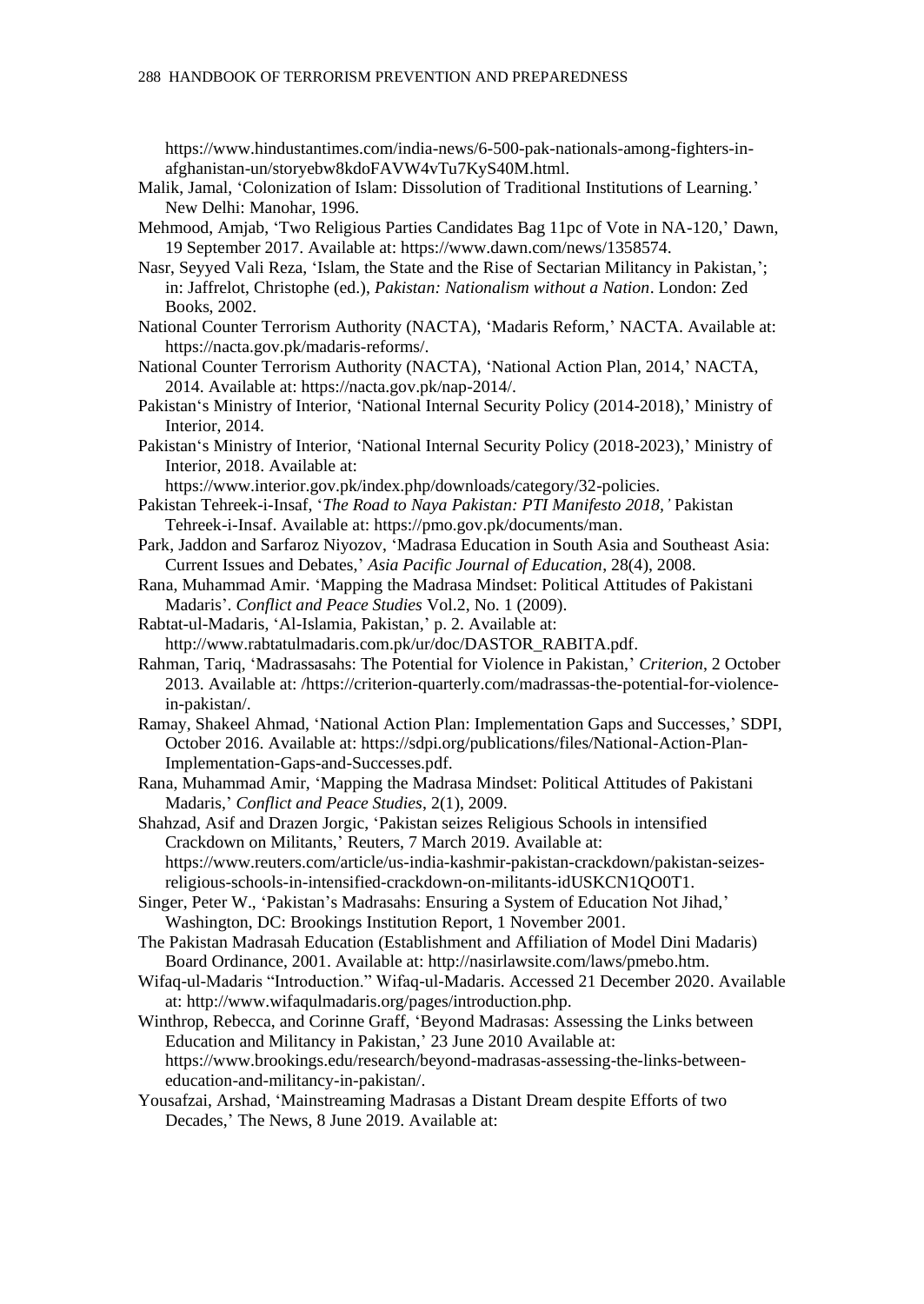[https://www.hindustantimes.com/india-news/6-500-pak-nationals-among-fighters-in](https://www.hindustantimes.com/india-news/6-500-pak-nationals-among-fighters-in-afghanistan-un/storyebw8kdoFAVW4vTu7KyS40M.html)[afghanistan-un/storyebw8kdoFAVW4vTu7KyS40M.html.](https://www.hindustantimes.com/india-news/6-500-pak-nationals-among-fighters-in-afghanistan-un/storyebw8kdoFAVW4vTu7KyS40M.html)

- Malik, Jamal, 'Colonization of Islam: Dissolution of Traditional Institutions of Learning.' New Delhi: Manohar, 1996.
- Mehmood, Amjab, 'Two Religious Parties Candidates Bag 11pc of Vote in NA-120,' Dawn, 19 September 2017. Available at: [https://www.dawn.com/news/1358574.](https://www.dawn.com/news/1358574)
- Nasr, Seyyed Vali Reza, 'Islam, the State and the Rise of Sectarian Militancy in Pakistan,'; in: Jaffrelot, Christophe (ed.), *Pakistan: Nationalism without a Nation*. London: Zed Books, 2002.
- National Counter Terrorism Authority (NACTA), 'Madaris Reform,' NACTA. Available at: [https://nacta.gov.pk/madaris-reforms/.](https://nacta.gov.pk/madaris-reforms/)
- National Counter Terrorism Authority (NACTA), 'National Action Plan, 2014,' NACTA, 2014. Available at[: https://nacta.gov.pk/nap-2014/.](https://nacta.gov.pk/nap-2014/)
- Pakistan's Ministry of Interior, 'National Internal Security Policy (2014-2018),' Ministry of Interior, 2014.
- Pakistan's Ministry of Interior, 'National Internal Security Policy (2018-2023),' Ministry of Interior, 2018. Available at:
	- [https://www.interior.gov.pk/index.php/downloads/category/32-policies.](https://www.interior.gov.pk/index.php/downloads/category/32-policies)
- Pakistan Tehreek-i-Insaf, '*The Road to Naya Pakistan: PTI Manifesto 2018,'* Pakistan Tehreek-i-Insaf. Available at: [https://pmo.gov.pk/documents/man.](https://pmo.gov.pk/documents/manifesto-pti.pdf/)
- Park, Jaddon and Sarfaroz Niyozov, 'Madrasa Education in South Asia and Southeast Asia: Current Issues and Debates,' *Asia Pacific Journal of Education*, 28(4), 2008.
- Rana, Muhammad Amir. 'Mapping the Madrasa Mindset: Political Attitudes of Pakistani Madaris'. *Conflict and Peace Studies* Vol.2, No. 1 (2009).
- Rabtat-ul-Madaris, 'Al-Islamia, Pakistan,' p. 2. Available at: [http://www.rabtatulmadaris.com.pk/ur/doc/DASTOR\\_RABITA.pdf.](http://www.rabtatulmadaris.com.pk/ur/doc/DASTOR_RABITA.pdf)
- Rahman, Tariq, 'Madrassasahs: The Potential for Violence in Pakistan,' *Criterion*, 2 October 2013. Available at[: /h](http://www.criterion-quarterly.com/Madrasahs-the-potential-for-violence-in-pakistan/)ttps://criterion-quarterly.com/madrassas-the-potential-for-violencein-pakistan/.

Ramay, Shakeel Ahmad, 'National Action Plan: Implementation Gaps and Successes,' SDPI, October 2016. Available at[: https://sdpi.org/publications/files/National-Action-Plan-](https://sdpi.org/publications/files/National-Action-Plan-Implementation-Gaps-and-Successes.pdf)[Implementation-Gaps-and-Successes.pdf.](https://sdpi.org/publications/files/National-Action-Plan-Implementation-Gaps-and-Successes.pdf)

Rana, Muhammad Amir, 'Mapping the Madrasa Mindset: Political Attitudes of Pakistani Madaris,' *Conflict and Peace Studies*, 2(1), 2009.

Shahzad, Asif and Drazen Jorgic, 'Pakistan seizes Religious Schools in intensified Crackdown on Militants,' Reuters, 7 March 2019. Available at: [https://www.reuters.com/article/us-india-kashmir-pakistan-crackdown/pakistan-seizes](https://www.reuters.com/article/us-india-kashmir-pakistan-crackdown/pakistan-seizes-religious-schools-in-intensified-crackdown-on-militants-idUSKCN1QO0T1)[religious-schools-in-intensified-crackdown-on-militants-idUSKCN1QO0T1.](https://www.reuters.com/article/us-india-kashmir-pakistan-crackdown/pakistan-seizes-religious-schools-in-intensified-crackdown-on-militants-idUSKCN1QO0T1)

- Singer, Peter W., 'Pakistan's Madrasahs: Ensuring a System of Education Not Jihad,' Washington, DC: Brookings Institution Report, 1 November 2001.
- The Pakistan Madrasah Education (Establishment and Affiliation of Model Dini Madaris) Board Ordinance, 2001. Available at[: http://nasirlawsite.com/laws/pmebo.htm.](http://nasirlawsite.com/laws/pmebo.htm)
- Wifaq-ul-Madaris "Introduction." Wifaq-ul-Madaris. Accessed 21 December 2020. Available at: http://www.wifaqulmadaris.org/pages/introduction.php.
- Winthrop, Rebecca, and Corinne Graff, 'Beyond Madrasas: Assessing the Links between Education and Militancy in Pakistan,' 23 June 2010 Available at: [https://www.brookings.edu/research/beyond-madrasas-assessing-the-links-between](https://www.brookings.edu/research/beyond-madrasas-assessing-the-links-between-education-and-militancy-in-pakistan/)[education-and-militancy-in-pakistan/.](https://www.brookings.edu/research/beyond-madrasas-assessing-the-links-between-education-and-militancy-in-pakistan/)
- Yousafzai, Arshad, 'Mainstreaming Madrasas a Distant Dream despite Efforts of two Decades,' The News, 8 June 2019. Available at: